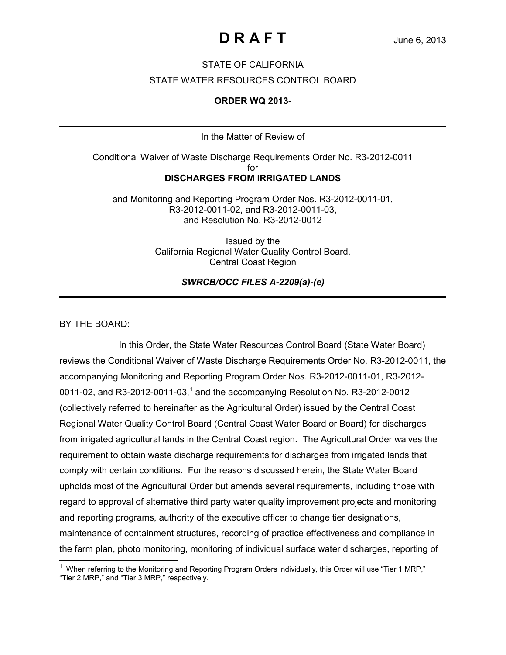### STATE OF CALIFORNIA

#### STATE WATER RESOURCES CONTROL BOARD

#### **ORDER WQ 2013-**

In the Matter of Review of

Conditional Waiver of Waste Discharge Requirements Order No. R3-2012-0011 for **DISCHARGES FROM IRRIGATED LANDS**

and Monitoring and Reporting Program Order Nos. R3-2012-0011-01, R3-2012-0011-02, and R3-2012-0011-03, and Resolution No. R3-2012-0012

> Issued by the California Regional Water Quality Control Board, Central Coast Region

> > *SWRCB/OCC FILES A-2209(a)-(e)*

BY THE BOARD:

In this Order, the State Water Resources Control Board (State Water Board) reviews the Conditional Waiver of Waste Discharge Requirements Order No. R3-2012-0011, the accompanying Monitoring and Reporting Program Order Nos. R3-2012-0011-01, R3-2012- 00[1](#page-0-0)1-02, and R3-2012-0011-03,<sup>1</sup> and the accompanying Resolution No. R3-2012-0012 (collectively referred to hereinafter as the Agricultural Order) issued by the Central Coast Regional Water Quality Control Board (Central Coast Water Board or Board) for discharges from irrigated agricultural lands in the Central Coast region. The Agricultural Order waives the requirement to obtain waste discharge requirements for discharges from irrigated lands that comply with certain conditions. For the reasons discussed herein, the State Water Board upholds most of the Agricultural Order but amends several requirements, including those with regard to approval of alternative third party water quality improvement projects and monitoring and reporting programs, authority of the executive officer to change tier designations, maintenance of containment structures, recording of practice effectiveness and compliance in the farm plan, photo monitoring, monitoring of individual surface water discharges, reporting of

<span id="page-0-0"></span><sup>&</sup>lt;u>the meterring to the Monitoring and Reporting Program Orders individually, this Order will use "Tier 1 MRP,"</u><br>The Monitorial of the Monitoring and Reporting Program Orders individually, this Order will use "Tier 1 MRP," "Tier 2 MRP," and "Tier 3 MRP," respectively.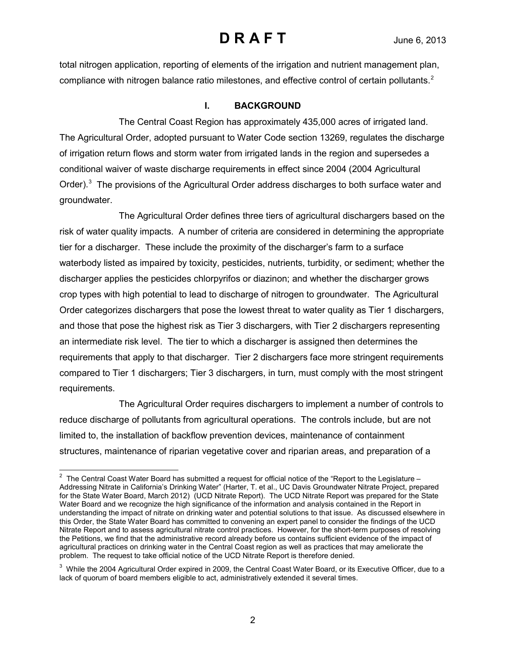total nitrogen application, reporting of elements of the irrigation and nutrient management plan, compliance with nitrogen balance ratio milestones, and effective control of certain pollutants.<sup>[2](#page-1-0)</sup>

### **I. BACKGROUND**

The Central Coast Region has approximately 435,000 acres of irrigated land. The Agricultural Order, adopted pursuant to Water Code section 13269, regulates the discharge of irrigation return flows and storm water from irrigated lands in the region and supersedes a conditional waiver of waste discharge requirements in effect since 2004 (2004 Agricultural Order).<sup>[3](#page-1-1)</sup> The provisions of the Agricultural Order address discharges to both surface water and groundwater.

The Agricultural Order defines three tiers of agricultural dischargers based on the risk of water quality impacts. A number of criteria are considered in determining the appropriate tier for a discharger. These include the proximity of the discharger's farm to a surface waterbody listed as impaired by toxicity, pesticides, nutrients, turbidity, or sediment; whether the discharger applies the pesticides chlorpyrifos or diazinon; and whether the discharger grows crop types with high potential to lead to discharge of nitrogen to groundwater. The Agricultural Order categorizes dischargers that pose the lowest threat to water quality as Tier 1 dischargers, and those that pose the highest risk as Tier 3 dischargers, with Tier 2 dischargers representing an intermediate risk level. The tier to which a discharger is assigned then determines the requirements that apply to that discharger. Tier 2 dischargers face more stringent requirements compared to Tier 1 dischargers; Tier 3 dischargers, in turn, must comply with the most stringent requirements.

The Agricultural Order requires dischargers to implement a number of controls to reduce discharge of pollutants from agricultural operations. The controls include, but are not limited to, the installation of backflow prevention devices, maintenance of containment structures, maintenance of riparian vegetative cover and riparian areas, and preparation of a

<span id="page-1-0"></span> 2 The Central Coast Water Board has submitted a request for official notice of the "Report to the Legislature – Addressing Nitrate in California's Drinking Water" (Harter, T. et al., UC Davis Groundwater Nitrate Project, prepared for the State Water Board, March 2012) (UCD Nitrate Report). The UCD Nitrate Report was prepared for the State Water Board and we recognize the high significance of the information and analysis contained in the Report in understanding the impact of nitrate on drinking water and potential solutions to that issue. As discussed elsewhere in this Order, the State Water Board has committed to convening an expert panel to consider the findings of the UCD Nitrate Report and to assess agricultural nitrate control practices. However, for the short-term purposes of resolving the Petitions, we find that the administrative record already before us contains sufficient evidence of the impact of agricultural practices on drinking water in the Central Coast region as well as practices that may ameliorate the problem. The request to take official notice of the UCD Nitrate Report is therefore denied.

<span id="page-1-1"></span> $^3$  While the 2004 Agricultural Order expired in 2009, the Central Coast Water Board, or its Executive Officer, due to a lack of quorum of board members eligible to act, administratively extended it several times.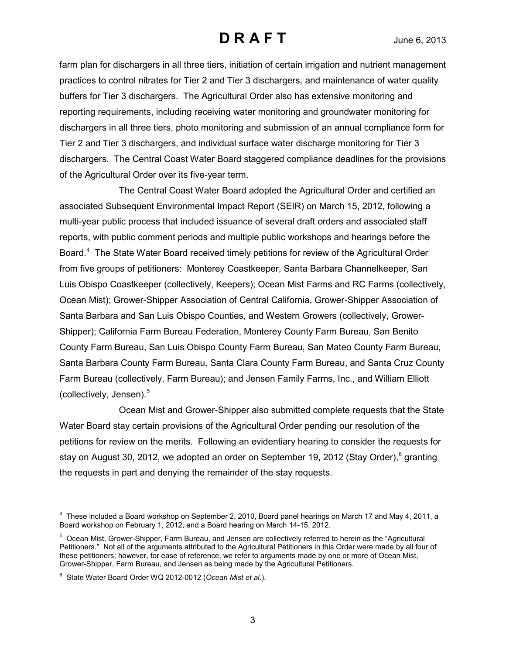farm plan for dischargers in all three tiers, initiation of certain irrigation and nutrient management practices to control nitrates for Tier 2 and Tier 3 dischargers, and maintenance of water quality buffers for Tier 3 dischargers. The Agricultural Order also has extensive monitoring and reporting requirements, including receiving water monitoring and groundwater monitoring for dischargers in all three tiers, photo monitoring and submission of an annual compliance form for Tier 2 and Tier 3 dischargers, and individual surface water discharge monitoring for Tier 3 dischargers. The Central Coast Water Board staggered compliance deadlines for the provisions of the Agricultural Order over its five-year term.

The Central Coast Water Board adopted the Agricultural Order and certified an associated Subsequent Environmental Impact Report (SEIR) on March 15, 2012, following a multi-year public process that included issuance of several draft orders and associated staff reports, with public comment periods and multiple public workshops and hearings before the Board.<sup>[4](#page-2-0)</sup> The State Water Board received timely petitions for review of the Agricultural Order from five groups of petitioners: Monterey Coastkeeper, Santa Barbara Channelkeeper, San Luis Obispo Coastkeeper (collectively, Keepers); Ocean Mist Farms and RC Farms (collectively, Ocean Mist); Grower-Shipper Association of Central California, Grower-Shipper Association of Santa Barbara and San Luis Obispo Counties, and Western Growers (collectively, Grower-Shipper); California Farm Bureau Federation, Monterey County Farm Bureau, San Benito County Farm Bureau, San Luis Obispo County Farm Bureau, San Mateo County Farm Bureau, Santa Barbara County Farm Bureau, Santa Clara County Farm Bureau, and Santa Cruz County Farm Bureau (collectively, Farm Bureau); and Jensen Family Farms, Inc., and William Elliott (collectively, Jensen).<sup>[5](#page-2-1)</sup>

Ocean Mist and Grower-Shipper also submitted complete requests that the State Water Board stay certain provisions of the Agricultural Order pending our resolution of the petitions for review on the merits. Following an evidentiary hearing to consider the requests for stay on August 30, 2012, we adopted an order on September 19, 2012 (Stay Order), [6](#page-2-2) granting the requests in part and denying the remainder of the stay requests.

<span id="page-2-0"></span> $\overline{\phantom{a}}$ <sup>4</sup> These included a Board workshop on September 2, 2010, Board panel hearings on March 17 and May 4, 2011, a Board workshop on February 1, 2012, and a Board hearing on March 14-15, 2012.

<span id="page-2-1"></span><sup>&</sup>lt;sup>5</sup> Ocean Mist, Grower-Shipper, Farm Bureau, and Jensen are collectively referred to herein as the "Agricultural Petitioners." Not all of the arguments attributed to the Agricultural Petitioners in this Order were made by all four of these petitioners; however, for ease of reference, we refer to arguments made by one or more of Ocean Mist, Grower-Shipper, Farm Bureau, and Jensen as being made by the Agricultural Petitioners.

<span id="page-2-2"></span><sup>6</sup> State Water Board Order WQ 2012-0012 (*Ocean Mist et al*.).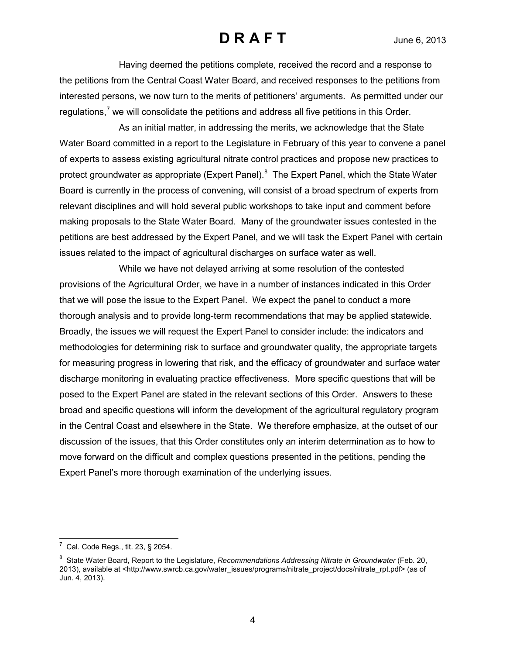Having deemed the petitions complete, received the record and a response to the petitions from the Central Coast Water Board, and received responses to the petitions from interested persons, we now turn to the merits of petitioners' arguments. As permitted under our regulations, $\frac{7}{1}$  $\frac{7}{1}$  $\frac{7}{1}$  we will consolidate the petitions and address all five petitions in this Order.

As an initial matter, in addressing the merits, we acknowledge that the State Water Board committed in a report to the Legislature in February of this year to convene a panel of experts to assess existing agricultural nitrate control practices and propose new practices to protect groundwater as appropriate (Expert Panel).<sup>[8](#page-3-1)</sup> The Expert Panel, which the State Water Board is currently in the process of convening, will consist of a broad spectrum of experts from relevant disciplines and will hold several public workshops to take input and comment before making proposals to the State Water Board. Many of the groundwater issues contested in the petitions are best addressed by the Expert Panel, and we will task the Expert Panel with certain issues related to the impact of agricultural discharges on surface water as well.

While we have not delayed arriving at some resolution of the contested provisions of the Agricultural Order, we have in a number of instances indicated in this Order that we will pose the issue to the Expert Panel. We expect the panel to conduct a more thorough analysis and to provide long-term recommendations that may be applied statewide. Broadly, the issues we will request the Expert Panel to consider include: the indicators and methodologies for determining risk to surface and groundwater quality, the appropriate targets for measuring progress in lowering that risk, and the efficacy of groundwater and surface water discharge monitoring in evaluating practice effectiveness. More specific questions that will be posed to the Expert Panel are stated in the relevant sections of this Order. Answers to these broad and specific questions will inform the development of the agricultural regulatory program in the Central Coast and elsewhere in the State. We therefore emphasize, at the outset of our discussion of the issues, that this Order constitutes only an interim determination as to how to move forward on the difficult and complex questions presented in the petitions, pending the Expert Panel's more thorough examination of the underlying issues.

<span id="page-3-0"></span> 7 Cal. Code Regs., tit. 23, § 2054.

<span id="page-3-1"></span><sup>&</sup>lt;sup>8</sup> State Water Board, Report to the Legislature, *Recommendations Addressing Nitrate in Groundwater* (Feb. 20, 2013), available at [<http://www.swrcb.ca.gov/water\\_issues/programs/nitrate\\_project/docs/nitrate\\_rpt.pdf>](http://www.swrcb.ca.gov/water_issues/programs/nitrate_project/docs/nitrate_rpt.pdf) (as of Jun. 4, 2013).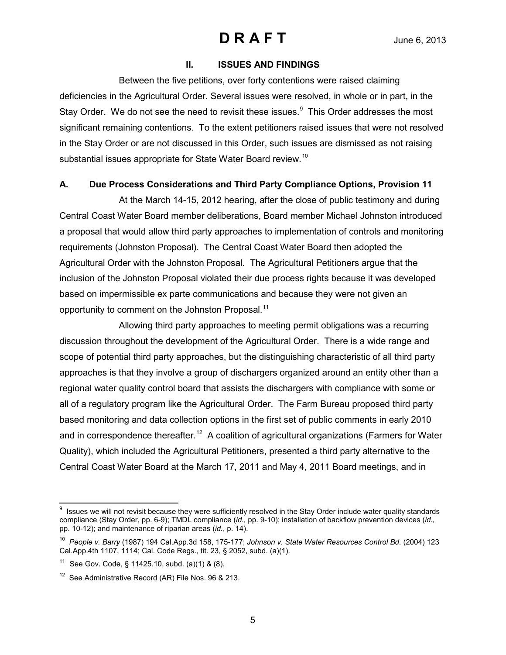#### **II. ISSUES AND FINDINGS**

Between the five petitions, over forty contentions were raised claiming deficiencies in the Agricultural Order. Several issues were resolved, in whole or in part, in the Stay Order. We do not see the need to revisit these issues.<sup>[9](#page-4-0)</sup> This Order addresses the most significant remaining contentions. To the extent petitioners raised issues that were not resolved in the Stay Order or are not discussed in this Order, such issues are dismissed as not raising substantial issues appropriate for State Water Board review.<sup>[10](#page-4-1)</sup>

### **A. Due Process Considerations and Third Party Compliance Options, Provision 11**

At the March 14-15, 2012 hearing, after the close of public testimony and during Central Coast Water Board member deliberations, Board member Michael Johnston introduced a proposal that would allow third party approaches to implementation of controls and monitoring requirements (Johnston Proposal). The Central Coast Water Board then adopted the Agricultural Order with the Johnston Proposal. The Agricultural Petitioners argue that the inclusion of the Johnston Proposal violated their due process rights because it was developed based on impermissible ex parte communications and because they were not given an opportunity to comment on the Johnston Proposal.<sup>[11](#page-4-2)</sup>

Allowing third party approaches to meeting permit obligations was a recurring discussion throughout the development of the Agricultural Order. There is a wide range and scope of potential third party approaches, but the distinguishing characteristic of all third party approaches is that they involve a group of dischargers organized around an entity other than a regional water quality control board that assists the dischargers with compliance with some or all of a regulatory program like the Agricultural Order. The Farm Bureau proposed third party based monitoring and data collection options in the first set of public comments in early 2010 and in correspondence thereafter.<sup>12</sup> A coalition of agricultural organizations (Farmers for Water Quality), which included the Agricultural Petitioners, presented a third party alternative to the Central Coast Water Board at the March 17, 2011 and May 4, 2011 Board meetings, and in

<span id="page-4-0"></span><sup>&</sup>lt;u>ecals</u><br><sup>9</sup> Issues we will not revisit because they were sufficiently resolved in the Stay Order include water quality standards compliance (Stay Order, pp. 6-9); TMDL compliance (*id.,* pp. 9-10); installation of backflow prevention devices (*id.,*  pp. 10-12); and maintenance of riparian areas (*id.*, p. 14).

<span id="page-4-1"></span><sup>10</sup> *People v. Barry* (1987) 194 Cal.App.3d 158, 175-177; *Johnson v. State Water Resources Control Bd.* (2004) 123 Cal.App.4th 1107, 1114; Cal. Code Regs., tit. 23, § 2052, subd. (a)(1).

<span id="page-4-2"></span><sup>&</sup>lt;sup>11</sup> See Gov. Code, § 11425.10, subd. (a)(1) & (8).

<span id="page-4-3"></span><sup>&</sup>lt;sup>12</sup> See Administrative Record (AR) File Nos. 96 & 213.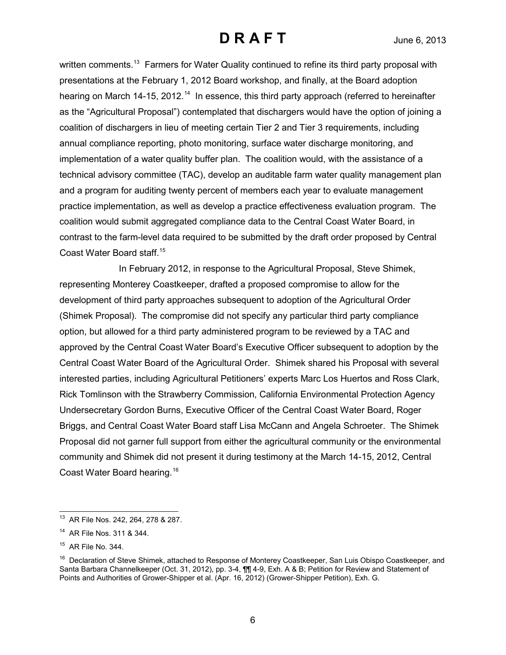written comments.<sup>13</sup> Farmers for Water Quality continued to refine its third party proposal with presentations at the February 1, 2012 Board workshop, and finally, at the Board adoption hearing on March [14](#page-5-1)-15, 2012.<sup>14</sup> In essence, this third party approach (referred to hereinafter as the "Agricultural Proposal") contemplated that dischargers would have the option of joining a coalition of dischargers in lieu of meeting certain Tier 2 and Tier 3 requirements, including annual compliance reporting, photo monitoring, surface water discharge monitoring, and implementation of a water quality buffer plan. The coalition would, with the assistance of a technical advisory committee (TAC), develop an auditable farm water quality management plan and a program for auditing twenty percent of members each year to evaluate management practice implementation, as well as develop a practice effectiveness evaluation program. The coalition would submit aggregated compliance data to the Central Coast Water Board, in contrast to the farm-level data required to be submitted by the draft order proposed by Central Coast Water Board staff. [15](#page-5-2)

In February 2012, in response to the Agricultural Proposal, Steve Shimek, representing Monterey Coastkeeper, drafted a proposed compromise to allow for the development of third party approaches subsequent to adoption of the Agricultural Order (Shimek Proposal). The compromise did not specify any particular third party compliance option, but allowed for a third party administered program to be reviewed by a TAC and approved by the Central Coast Water Board's Executive Officer subsequent to adoption by the Central Coast Water Board of the Agricultural Order. Shimek shared his Proposal with several interested parties, including Agricultural Petitioners' experts Marc Los Huertos and Ross Clark, Rick Tomlinson with the Strawberry Commission, California Environmental Protection Agency Undersecretary Gordon Burns, Executive Officer of the Central Coast Water Board, Roger Briggs, and Central Coast Water Board staff Lisa McCann and Angela Schroeter. The Shimek Proposal did not garner full support from either the agricultural community or the environmental community and Shimek did not present it during testimony at the March 14-15, 2012, Central Coast Water Board hearing.<sup>[16](#page-5-3)</sup>

 $\overline{\phantom{a}}$ <sup>13</sup> AR File Nos. 242, 264, 278 & 287.

<span id="page-5-1"></span><span id="page-5-0"></span><sup>14</sup> AR File Nos. 311 & 344.

<span id="page-5-2"></span> $15$  AR File No. 344.

<span id="page-5-3"></span><sup>&</sup>lt;sup>16</sup> Declaration of Steve Shimek, attached to Response of Monterey Coastkeeper, San Luis Obispo Coastkeeper, and Santa Barbara Channelkeeper (Oct. 31, 2012), pp. 3-4, ¶¶ 4-9, Exh. A & B; Petition for Review and Statement of Points and Authorities of Grower-Shipper et al. (Apr. 16, 2012) (Grower-Shipper Petition), Exh. G.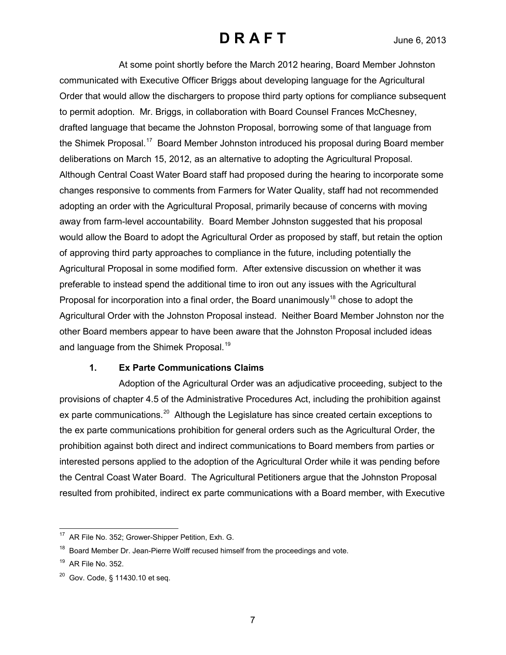At some point shortly before the March 2012 hearing, Board Member Johnston communicated with Executive Officer Briggs about developing language for the Agricultural Order that would allow the dischargers to propose third party options for compliance subsequent to permit adoption. Mr. Briggs, in collaboration with Board Counsel Frances McChesney, drafted language that became the Johnston Proposal, borrowing some of that language from the Shimek Proposal.<sup>[17](#page-6-0)</sup> Board Member Johnston introduced his proposal during Board member deliberations on March 15, 2012, as an alternative to adopting the Agricultural Proposal. Although Central Coast Water Board staff had proposed during the hearing to incorporate some changes responsive to comments from Farmers for Water Quality, staff had not recommended adopting an order with the Agricultural Proposal, primarily because of concerns with moving away from farm-level accountability. Board Member Johnston suggested that his proposal would allow the Board to adopt the Agricultural Order as proposed by staff, but retain the option of approving third party approaches to compliance in the future, including potentially the Agricultural Proposal in some modified form. After extensive discussion on whether it was preferable to instead spend the additional time to iron out any issues with the Agricultural Proposal for incorporation into a final order, the Board unanimously<sup>[18](#page-6-1)</sup> chose to adopt the Agricultural Order with the Johnston Proposal instead. Neither Board Member Johnston nor the other Board members appear to have been aware that the Johnston Proposal included ideas and language from the Shimek Proposal.<sup>[19](#page-6-2)</sup>

### **1. Ex Parte Communications Claims**

Adoption of the Agricultural Order was an adjudicative proceeding, subject to the provisions of chapter 4.5 of the Administrative Procedures Act, including the prohibition against ex parte communications.<sup>[20](#page-6-3)</sup> Although the Legislature has since created certain exceptions to the ex parte communications prohibition for general orders such as the Agricultural Order, the prohibition against both direct and indirect communications to Board members from parties or interested persons applied to the adoption of the Agricultural Order while it was pending before the Central Coast Water Board. The Agricultural Petitioners argue that the Johnston Proposal resulted from prohibited, indirect ex parte communications with a Board member, with Executive

<span id="page-6-0"></span> $\overline{\phantom{a}}$ <sup>17</sup> AR File No. 352; Grower-Shipper Petition, Exh. G.

<span id="page-6-1"></span> $18$  Board Member Dr. Jean-Pierre Wolff recused himself from the proceedings and vote.

<span id="page-6-2"></span> $19$  AR File No. 352.

<span id="page-6-3"></span> $20$  Gov. Code, § 11430.10 et seq.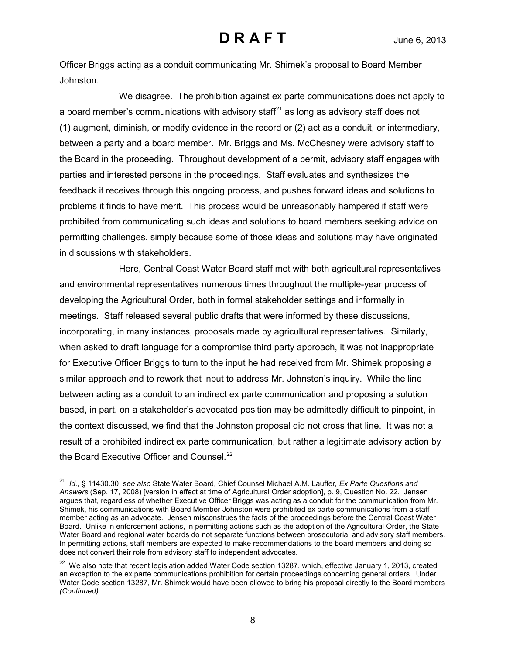Officer Briggs acting as a conduit communicating Mr. Shimek's proposal to Board Member Johnston.

We disagree. The prohibition against ex parte communications does not apply to a board member's communications with advisory staff $^{21}$  $^{21}$  $^{21}$  as long as advisory staff does not (1) augment, diminish, or modify evidence in the record or (2) act as a conduit, or intermediary, between a party and a board member. Mr. Briggs and Ms. McChesney were advisory staff to the Board in the proceeding. Throughout development of a permit, advisory staff engages with parties and interested persons in the proceedings. Staff evaluates and synthesizes the feedback it receives through this ongoing process, and pushes forward ideas and solutions to problems it finds to have merit. This process would be unreasonably hampered if staff were prohibited from communicating such ideas and solutions to board members seeking advice on permitting challenges, simply because some of those ideas and solutions may have originated in discussions with stakeholders.

Here, Central Coast Water Board staff met with both agricultural representatives and environmental representatives numerous times throughout the multiple-year process of developing the Agricultural Order, both in formal stakeholder settings and informally in meetings. Staff released several public drafts that were informed by these discussions, incorporating, in many instances, proposals made by agricultural representatives. Similarly, when asked to draft language for a compromise third party approach, it was not inappropriate for Executive Officer Briggs to turn to the input he had received from Mr. Shimek proposing a similar approach and to rework that input to address Mr. Johnston's inquiry. While the line between acting as a conduit to an indirect ex parte communication and proposing a solution based, in part, on a stakeholder's advocated position may be admittedly difficult to pinpoint, in the context discussed, we find that the Johnston proposal did not cross that line. It was not a result of a prohibited indirect ex parte communication, but rather a legitimate advisory action by the Board Executive Officer and Counsel. $^{22}$  $^{22}$  $^{22}$ 

<span id="page-7-0"></span> $\overline{a}$ 21 *Id.*, § 11430.30; s*ee also* State Water Board, Chief Counsel Michael A.M. Lauffer*, Ex Parte Questions and Answers* (Sep. 17, 2008) [version in effect at time of Agricultural Order adoption], p. 9, Question No. 22. Jensen argues that, regardless of whether Executive Officer Briggs was acting as a conduit for the communication from Mr. Shimek, his communications with Board Member Johnston were prohibited ex parte communications from a staff member acting as an advocate. Jensen misconstrues the facts of the proceedings before the Central Coast Water Board. Unlike in enforcement actions, in permitting actions such as the adoption of the Agricultural Order, the State Water Board and regional water boards do not separate functions between prosecutorial and advisory staff members. In permitting actions, staff members are expected to make recommendations to the board members and doing so does not convert their role from advisory staff to independent advocates.

<span id="page-7-1"></span><sup>&</sup>lt;sup>22</sup> We also note that recent legislation added Water Code section 13287, which, effective January 1, 2013, created an exception to the ex parte communications prohibition for certain proceedings concerning general orders. Under Water Code section 13287, Mr. Shimek would have been allowed to bring his proposal directly to the Board members *(Continued)*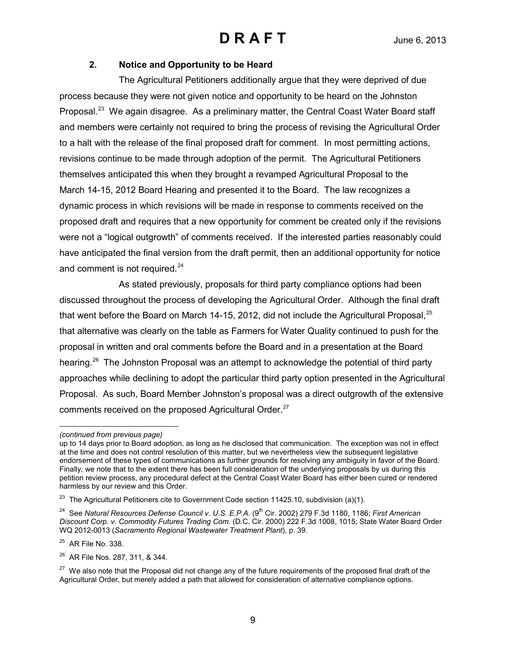### **2. Notice and Opportunity to be Heard**

The Agricultural Petitioners additionally argue that they were deprived of due process because they were not given notice and opportunity to be heard on the Johnston Proposal.<sup>[23](#page-8-0)</sup> We again disagree. As a preliminary matter, the Central Coast Water Board staff and members were certainly not required to bring the process of revising the Agricultural Order to a halt with the release of the final proposed draft for comment. In most permitting actions, revisions continue to be made through adoption of the permit. The Agricultural Petitioners themselves anticipated this when they brought a revamped Agricultural Proposal to the March 14-15, 2012 Board Hearing and presented it to the Board. The law recognizes a dynamic process in which revisions will be made in response to comments received on the proposed draft and requires that a new opportunity for comment be created only if the revisions were not a "logical outgrowth" of comments received. If the interested parties reasonably could have anticipated the final version from the draft permit, then an additional opportunity for notice and comment is not required.<sup>[24](#page-8-1)</sup>

As stated previously, proposals for third party compliance options had been discussed throughout the process of developing the Agricultural Order. Although the final draft that went before the Board on March 14-15, 2012, did not include the Agricultural Proposal,  $^{25}$  $^{25}$  $^{25}$ that alternative was clearly on the table as Farmers for Water Quality continued to push for the proposal in written and oral comments before the Board and in a presentation at the Board hearing.<sup>26</sup> The Johnston Proposal was an attempt to acknowledge the potential of third party approaches while declining to adopt the particular third party option presented in the Agricultural Proposal. As such, Board Member Johnston's proposal was a direct outgrowth of the extensive comments received on the proposed Agricultural Order.<sup>[27](#page-8-4)</sup>

<span id="page-8-2"></span>25 AR File No. 338.

<span id="page-8-3"></span>26 AR File Nos. 287, 311, & 344.

 $\overline{a}$ *(continued from previous page)*

up to 14 days prior to Board adoption, as long as he disclosed that communication. The exception was not in effect at the time and does not control resolution of this matter, but we nevertheless view the subsequent legislative endorsement of these types of communications as further grounds for resolving any ambiguity in favor of the Board. Finally, we note that to the extent there has been full consideration of the underlying proposals by us during this petition review process, any procedural defect at the Central Coast Water Board has either been cured or rendered harmless by our review and this Order.

<span id="page-8-0"></span> $23$  The Agricultural Petitioners cite to Government Code section 11425.10, subdivision (a)(1).

<span id="page-8-1"></span><sup>&</sup>lt;sup>24</sup> See Natural Resources Defense Council v. U.S. E.P.A. (9<sup>th</sup> Cir. 2002) 279 F.3d 1180, 1186; First American *Discount Corp. v. Commodity Futures Trading Com.* (D.C. Cir. 2000) 222 F.3d 1008, 1015; State Water Board Order WQ 2012-0013 (*Sacramento Regional Wastewater Treatment Plant*), p. 39.

<span id="page-8-4"></span> $27$  We also note that the Proposal did not change any of the future requirements of the proposed final draft of the Agricultural Order, but merely added a path that allowed for consideration of alternative compliance options.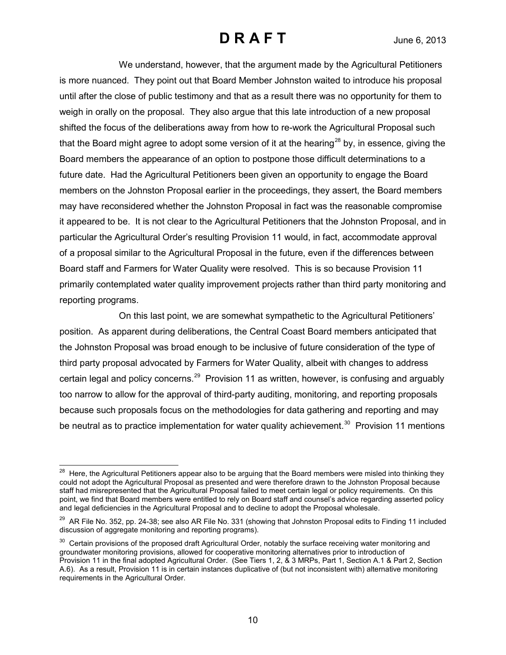We understand, however, that the argument made by the Agricultural Petitioners is more nuanced. They point out that Board Member Johnston waited to introduce his proposal until after the close of public testimony and that as a result there was no opportunity for them to weigh in orally on the proposal. They also argue that this late introduction of a new proposal shifted the focus of the deliberations away from how to re-work the Agricultural Proposal such that the Board might agree to adopt some version of it at the hearing<sup>[28](#page-9-0)</sup> by, in essence, giving the Board members the appearance of an option to postpone those difficult determinations to a future date. Had the Agricultural Petitioners been given an opportunity to engage the Board members on the Johnston Proposal earlier in the proceedings, they assert, the Board members may have reconsidered whether the Johnston Proposal in fact was the reasonable compromise it appeared to be. It is not clear to the Agricultural Petitioners that the Johnston Proposal, and in particular the Agricultural Order's resulting Provision 11 would, in fact, accommodate approval of a proposal similar to the Agricultural Proposal in the future, even if the differences between Board staff and Farmers for Water Quality were resolved. This is so because Provision 11 primarily contemplated water quality improvement projects rather than third party monitoring and reporting programs.

On this last point, we are somewhat sympathetic to the Agricultural Petitioners' position. As apparent during deliberations, the Central Coast Board members anticipated that the Johnston Proposal was broad enough to be inclusive of future consideration of the type of third party proposal advocated by Farmers for Water Quality, albeit with changes to address certain legal and policy concerns.<sup>[29](#page-9-1)</sup> Provision 11 as written, however, is confusing and arguably too narrow to allow for the approval of third-party auditing, monitoring, and reporting proposals because such proposals focus on the methodologies for data gathering and reporting and may be neutral as to practice implementation for water quality achievement.<sup>30</sup> Provision 11 mentions

 $\overline{a}$ 

<span id="page-9-0"></span> $^{28}$  Here, the Agricultural Petitioners appear also to be arguing that the Board members were misled into thinking they could not adopt the Agricultural Proposal as presented and were therefore drawn to the Johnston Proposal because staff had misrepresented that the Agricultural Proposal failed to meet certain legal or policy requirements. On this point, we find that Board members were entitled to rely on Board staff and counsel's advice regarding asserted policy and legal deficiencies in the Agricultural Proposal and to decline to adopt the Proposal wholesale.

<span id="page-9-1"></span> $29$  AR File No. 352, pp. 24-38; see also AR File No. 331 (showing that Johnston Proposal edits to Finding 11 included discussion of aggregate monitoring and reporting programs).

<span id="page-9-2"></span><sup>&</sup>lt;sup>30</sup> Certain provisions of the proposed draft Agricultural Order, notably the surface receiving water monitoring and groundwater monitoring provisions, allowed for cooperative monitoring alternatives prior to introduction of Provision 11 in the final adopted Agricultural Order. (See Tiers 1, 2, & 3 MRPs, Part 1, Section A.1 & Part 2, Section A.6). As a result, Provision 11 is in certain instances duplicative of (but not inconsistent with) alternative monitoring requirements in the Agricultural Order.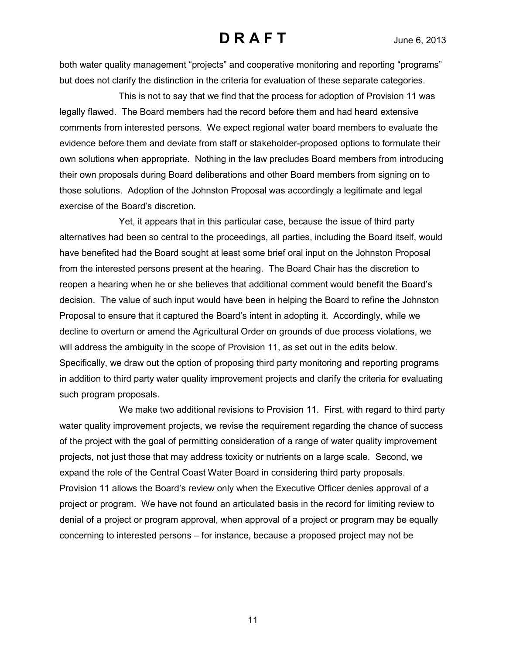both water quality management "projects" and cooperative monitoring and reporting "programs" but does not clarify the distinction in the criteria for evaluation of these separate categories.

This is not to say that we find that the process for adoption of Provision 11 was legally flawed. The Board members had the record before them and had heard extensive comments from interested persons. We expect regional water board members to evaluate the evidence before them and deviate from staff or stakeholder-proposed options to formulate their own solutions when appropriate. Nothing in the law precludes Board members from introducing their own proposals during Board deliberations and other Board members from signing on to those solutions. Adoption of the Johnston Proposal was accordingly a legitimate and legal exercise of the Board's discretion.

Yet, it appears that in this particular case, because the issue of third party alternatives had been so central to the proceedings, all parties, including the Board itself, would have benefited had the Board sought at least some brief oral input on the Johnston Proposal from the interested persons present at the hearing. The Board Chair has the discretion to reopen a hearing when he or she believes that additional comment would benefit the Board's decision. The value of such input would have been in helping the Board to refine the Johnston Proposal to ensure that it captured the Board's intent in adopting it. Accordingly, while we decline to overturn or amend the Agricultural Order on grounds of due process violations, we will address the ambiguity in the scope of Provision 11, as set out in the edits below. Specifically, we draw out the option of proposing third party monitoring and reporting programs in addition to third party water quality improvement projects and clarify the criteria for evaluating such program proposals.

We make two additional revisions to Provision 11. First, with regard to third party water quality improvement projects, we revise the requirement regarding the chance of success of the project with the goal of permitting consideration of a range of water quality improvement projects, not just those that may address toxicity or nutrients on a large scale. Second, we expand the role of the Central Coast Water Board in considering third party proposals. Provision 11 allows the Board's review only when the Executive Officer denies approval of a project or program. We have not found an articulated basis in the record for limiting review to denial of a project or program approval, when approval of a project or program may be equally concerning to interested persons – for instance, because a proposed project may not be

11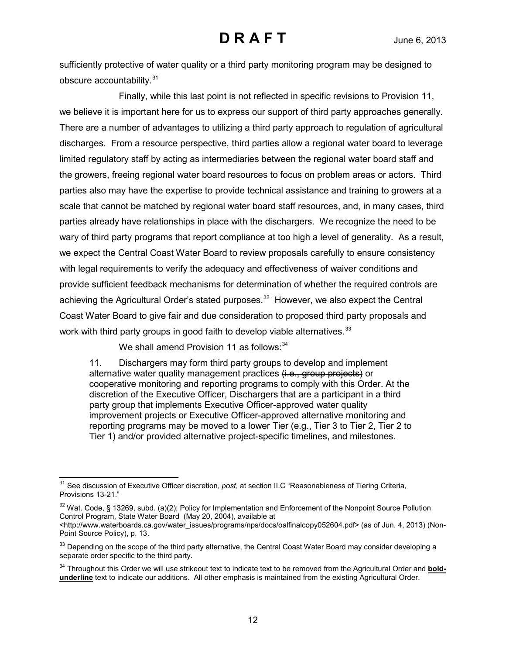sufficiently protective of water quality or a third party monitoring program may be designed to obscure accountability.<sup>[31](#page-11-0)</sup>

Finally, while this last point is not reflected in specific revisions to Provision 11, we believe it is important here for us to express our support of third party approaches generally. There are a number of advantages to utilizing a third party approach to regulation of agricultural discharges. From a resource perspective, third parties allow a regional water board to leverage limited regulatory staff by acting as intermediaries between the regional water board staff and the growers, freeing regional water board resources to focus on problem areas or actors. Third parties also may have the expertise to provide technical assistance and training to growers at a scale that cannot be matched by regional water board staff resources, and, in many cases, third parties already have relationships in place with the dischargers. We recognize the need to be wary of third party programs that report compliance at too high a level of generality. As a result, we expect the Central Coast Water Board to review proposals carefully to ensure consistency with legal requirements to verify the adequacy and effectiveness of waiver conditions and provide sufficient feedback mechanisms for determination of whether the required controls are achieving the Agricultural Order's stated purposes.<sup>[32](#page-11-1)</sup> However, we also expect the Central Coast Water Board to give fair and due consideration to proposed third party proposals and work with third party groups in good faith to develop viable alternatives.  $33$ 

We shall amend Provision 11 as follows:<sup>[34](#page-11-3)</sup>

11. Dischargers may form third party groups to develop and implement alternative water quality management practices (i.e., group projects) or cooperative monitoring and reporting programs to comply with this Order. At the discretion of the Executive Officer, Dischargers that are a participant in a third party group that implements Executive Officer-approved water quality improvement projects or Executive Officer-approved alternative monitoring and reporting programs may be moved to a lower Tier (e.g., Tier 3 to Tier 2, Tier 2 to Tier 1) and/or provided alternative project-specific timelines, and milestones.

<span id="page-11-0"></span> $\overline{\phantom{a}}$ 31 See discussion of Executive Officer discretion, *post*, at section II.C "Reasonableness of Tiering Criteria, Provisions 13-21."

<span id="page-11-1"></span><sup>&</sup>lt;sup>32</sup> Wat. Code, § 13269, subd. (a)(2); Policy for Implementation and Enforcement of the Nonpoint Source Pollution Control Program, State Water Board (May 20, 2004), available at

[<sup>&</sup>lt;http://www.waterboards.ca.gov/water\\_issues/programs/nps/docs/oalfinalcopy052604.pdf>](http://www.waterboards.ca.gov/water_issues/programs/nps/docs/oalfinalcopy052604.pdf) (as of Jun. 4, 2013) (Non-Point Source Policy), p. 13.

<span id="page-11-2"></span><sup>&</sup>lt;sup>33</sup> Depending on the scope of the third party alternative, the Central Coast Water Board may consider developing a separate order specific to the third party.

<span id="page-11-3"></span><sup>&</sup>lt;sup>34</sup> Throughout this Order we will use strikeout text to indicate text to be removed from the Agricultural Order and **boldunderline** text to indicate our additions. All other emphasis is maintained from the existing Agricultural Order.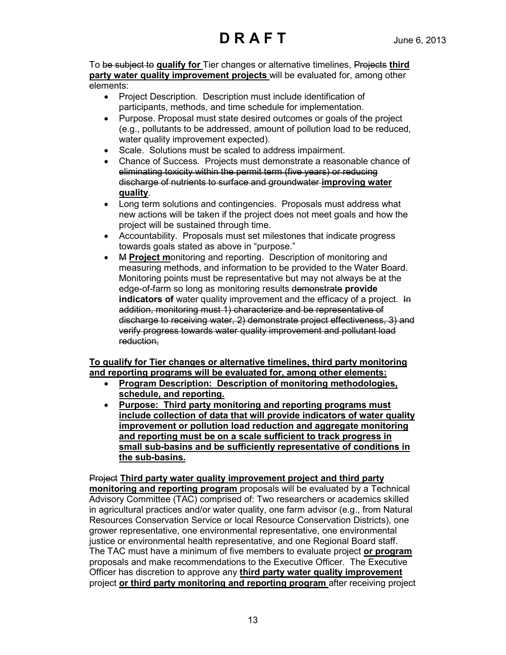To be subject to **qualify for** Tier changes or alternative timelines, Projects **third party water quality improvement projects** will be evaluated for, among other elements:

- Project Description. Description must include identification of participants, methods, and time schedule for implementation.
- Purpose. Proposal must state desired outcomes or goals of the project (e.g., pollutants to be addressed, amount of pollution load to be reduced, water quality improvement expected).
- Scale. Solutions must be scaled to address impairment.
- Chance of Success. Projects must demonstrate a reasonable chance of eliminating toxicity within the permit term (five years) or reducing discharge of nutrients to surface and groundwater **improving water quality**.
- Long term solutions and contingencies. Proposals must address what new actions will be taken if the project does not meet goals and how the project will be sustained through time.
- Accountability. Proposals must set milestones that indicate progress towards goals stated as above in "purpose."
- M **Project m**onitoring and reporting. Description of monitoring and measuring methods, and information to be provided to the Water Board. Monitoring points must be representative but may not always be at the edge-of-farm so long as monitoring results demonstrate **provide indicators of** water quality improvement and the efficacy of a project. In addition, monitoring must 1) characterize and be representative of discharge to receiving water, 2) demonstrate project effectiveness, 3) and verify progress towards water quality improvement and pollutant load reduction,

### **To qualify for Tier changes or alternative timelines, third party monitoring and reporting programs will be evaluated for, among other elements:**

- **Program Description: Description of monitoring methodologies, schedule, and reporting.**
- **Purpose: Third party monitoring and reporting programs must include collection of data that will provide indicators of water quality improvement or pollution load reduction and aggregate monitoring and reporting must be on a scale sufficient to track progress in small sub-basins and be sufficiently representative of conditions in the sub-basins.**

Project **Third party water quality improvement project and third party monitoring and reporting program** proposals will be evaluated by a Technical Advisory Committee (TAC) comprised of: Two researchers or academics skilled in agricultural practices and/or water quality, one farm advisor (e.g., from Natural Resources Conservation Service or local Resource Conservation Districts), one grower representative, one environmental representative, one environmental justice or environmental health representative, and one Regional Board staff. The TAC must have a minimum of five members to evaluate project **or program**  proposals and make recommendations to the Executive Officer. The Executive Officer has discretion to approve any **third party water quality improvement**  project **or third party monitoring and reporting program** after receiving project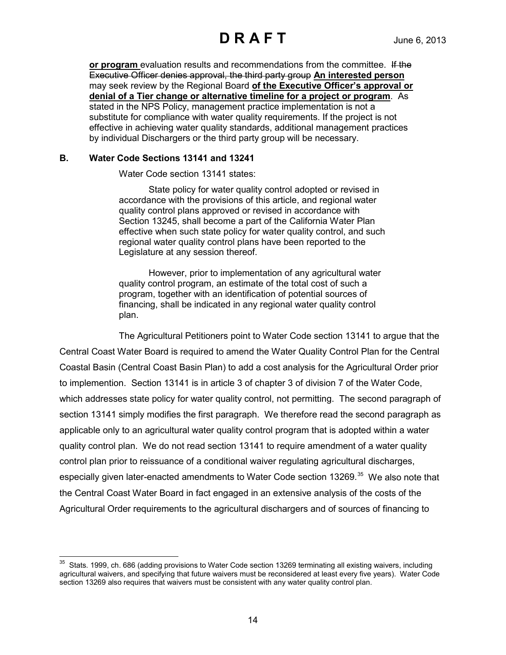**or program** evaluation results and recommendations from the committee. If the Executive Officer denies approval, the third party group **An interested person** may seek review by the Regional Board **of the Executive Officer's approval or denial of a Tier change or alternative timeline for a project or program**. As stated in the NPS Policy, management practice implementation is not a substitute for compliance with water quality requirements. If the project is not effective in achieving water quality standards, additional management practices by individual Dischargers or the third party group will be necessary.

#### **B. Water Code Sections 13141 and 13241**

Water Code section 13141 states:

State policy for water quality control adopted or revised in accordance with the provisions of this article, and regional water quality control plans approved or revised in accordance with Section 13245, shall become a part of the California Water Plan effective when such state policy for water quality control, and such regional water quality control plans have been reported to the Legislature at any session thereof.

However, prior to implementation of any agricultural water quality control program, an estimate of the total cost of such a program, together with an identification of potential sources of financing, shall be indicated in any regional water quality control plan.

The Agricultural Petitioners point to Water Code section 13141 to argue that the Central Coast Water Board is required to amend the Water Quality Control Plan for the Central Coastal Basin (Central Coast Basin Plan) to add a cost analysis for the Agricultural Order prior to implemention. Section 13141 is in article 3 of chapter 3 of division 7 of the Water Code, which addresses state policy for water quality control, not permitting. The second paragraph of section 13141 simply modifies the first paragraph. We therefore read the second paragraph as applicable only to an agricultural water quality control program that is adopted within a water quality control plan. We do not read section 13141 to require amendment of a water quality control plan prior to reissuance of a conditional waiver regulating agricultural discharges, especially given later-enacted amendments to Water Code section 13269.<sup>35</sup> We also note that the Central Coast Water Board in fact engaged in an extensive analysis of the costs of the Agricultural Order requirements to the agricultural dischargers and of sources of financing to

<span id="page-13-0"></span> $\overline{a}$  $35$  Stats. 1999, ch. 686 (adding provisions to Water Code section 13269 terminating all existing waivers, including agricultural waivers, and specifying that future waivers must be reconsidered at least every five years). Water Code section 13269 also requires that waivers must be consistent with any water quality control plan.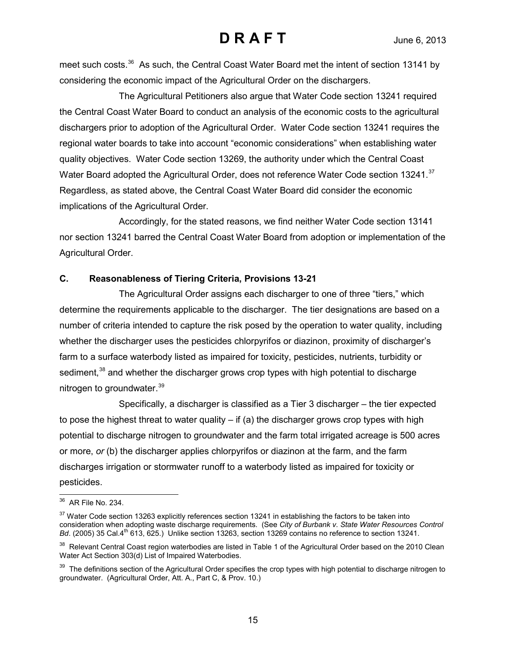meet such costs.<sup>[36](#page-14-0)</sup> As such, the Central Coast Water Board met the intent of section 13141 by considering the economic impact of the Agricultural Order on the dischargers.

The Agricultural Petitioners also argue that Water Code section 13241 required the Central Coast Water Board to conduct an analysis of the economic costs to the agricultural dischargers prior to adoption of the Agricultural Order. Water Code section 13241 requires the regional water boards to take into account "economic considerations" when establishing water quality objectives. Water Code section 13269, the authority under which the Central Coast Water Board adopted the Agricultural Order, does not reference Water Code section 13241.<sup>[37](#page-14-1)</sup> Regardless, as stated above, the Central Coast Water Board did consider the economic implications of the Agricultural Order.

Accordingly, for the stated reasons, we find neither Water Code section 13141 nor section 13241 barred the Central Coast Water Board from adoption or implementation of the Agricultural Order.

### **C. Reasonableness of Tiering Criteria, Provisions 13-21**

The Agricultural Order assigns each discharger to one of three "tiers," which determine the requirements applicable to the discharger. The tier designations are based on a number of criteria intended to capture the risk posed by the operation to water quality, including whether the discharger uses the pesticides chlorpyrifos or diazinon, proximity of discharger's farm to a surface waterbody listed as impaired for toxicity, pesticides, nutrients, turbidity or sediment,<sup>[38](#page-14-2)</sup> and whether the discharger grows crop types with high potential to discharge nitrogen to groundwater.<sup>[39](#page-14-3)</sup>

Specifically, a discharger is classified as a Tier 3 discharger – the tier expected to pose the highest threat to water quality  $-$  if (a) the discharger grows crop types with high potential to discharge nitrogen to groundwater and the farm total irrigated acreage is 500 acres or more, *or* (b) the discharger applies chlorpyrifos or diazinon at the farm, and the farm discharges irrigation or stormwater runoff to a waterbody listed as impaired for toxicity or pesticides.

 $\overline{a}$  $36$  AR File No. 234.

<span id="page-14-1"></span><span id="page-14-0"></span><sup>&</sup>lt;sup>37</sup> Water Code section 13263 explicitly references section 13241 in establishing the factors to be taken into consideration when adopting waste discharge requirements. (See *City of Burbank v. State Water Resources Control Bd.* (2005) 35 Cal.4<sup>th</sup> 613, 625.) Unlike section 13263, section 13269 contains no reference to section 13241.

<span id="page-14-2"></span><sup>&</sup>lt;sup>38</sup> Relevant Central Coast region waterbodies are listed in Table 1 of the Agricultural Order based on the 2010 Clean Water Act Section 303(d) List of Impaired Waterbodies.

<span id="page-14-3"></span><sup>&</sup>lt;sup>39</sup> The definitions section of the Agricultural Order specifies the crop types with high potential to discharge nitrogen to groundwater. (Agricultural Order, Att. A., Part C, & Prov. 10.)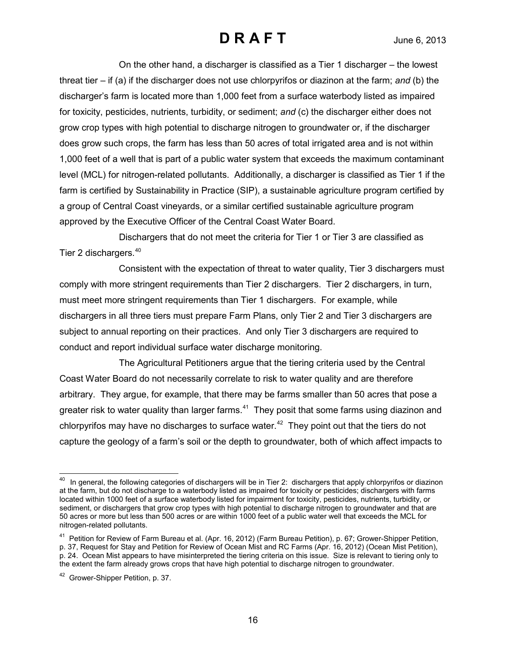On the other hand, a discharger is classified as a Tier 1 discharger – the lowest threat tier – if (a) if the discharger does not use chlorpyrifos or diazinon at the farm; *and* (b) the discharger's farm is located more than 1,000 feet from a surface waterbody listed as impaired for toxicity, pesticides, nutrients, turbidity, or sediment; *and* (c) the discharger either does not grow crop types with high potential to discharge nitrogen to groundwater or, if the discharger does grow such crops, the farm has less than 50 acres of total irrigated area and is not within 1,000 feet of a well that is part of a public water system that exceeds the maximum contaminant level (MCL) for nitrogen-related pollutants. Additionally, a discharger is classified as Tier 1 if the farm is certified by Sustainability in Practice (SIP), a sustainable agriculture program certified by a group of Central Coast vineyards, or a similar certified sustainable agriculture program approved by the Executive Officer of the Central Coast Water Board.

Dischargers that do not meet the criteria for Tier 1 or Tier 3 are classified as Tier 2 dischargers.[40](#page-15-0)

Consistent with the expectation of threat to water quality, Tier 3 dischargers must comply with more stringent requirements than Tier 2 dischargers. Tier 2 dischargers, in turn, must meet more stringent requirements than Tier 1 dischargers. For example, while dischargers in all three tiers must prepare Farm Plans, only Tier 2 and Tier 3 dischargers are subject to annual reporting on their practices. And only Tier 3 dischargers are required to conduct and report individual surface water discharge monitoring.

The Agricultural Petitioners argue that the tiering criteria used by the Central Coast Water Board do not necessarily correlate to risk to water quality and are therefore arbitrary. They argue, for example, that there may be farms smaller than 50 acres that pose a greater risk to water quality than larger farms.<sup>[41](#page-15-1)</sup> They posit that some farms using diazinon and chlorpyrifos may have no discharges to surface water.<sup>42</sup> They point out that the tiers do not capture the geology of a farm's soil or the depth to groundwater, both of which affect impacts to

<span id="page-15-0"></span> $\overline{\phantom{a}}$  $^{40}$  In general, the following categories of dischargers will be in Tier 2: dischargers that apply chlorpyrifos or diazinon at the farm, but do not discharge to a waterbody listed as impaired for toxicity or pesticides; dischargers with farms located within 1000 feet of a surface waterbody listed for impairment for toxicity, pesticides, nutrients, turbidity, or sediment, or dischargers that grow crop types with high potential to discharge nitrogen to groundwater and that are 50 acres or more but less than 500 acres or are within 1000 feet of a public water well that exceeds the MCL for nitrogen-related pollutants.

<span id="page-15-1"></span><sup>41</sup> Petition for Review of Farm Bureau et al. (Apr. 16, 2012) (Farm Bureau Petition), p. 67; Grower-Shipper Petition, p. 37, Request for Stay and Petition for Review of Ocean Mist and RC Farms (Apr. 16, 2012) (Ocean Mist Petition), p. 24. Ocean Mist appears to have misinterpreted the tiering criteria on this issue. Size is relevant to tiering only to the extent the farm already grows crops that have high potential to discharge nitrogen to groundwater.

<span id="page-15-2"></span><sup>&</sup>lt;sup>42</sup> Grower-Shipper Petition, p. 37.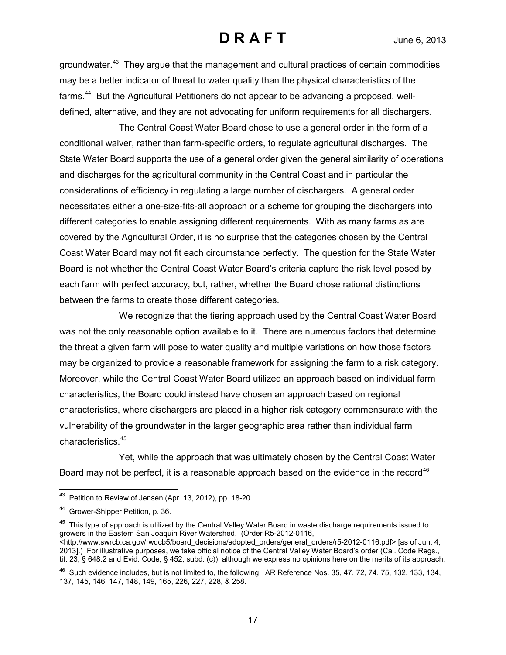groundwater.[43](#page-16-0) They argue that the management and cultural practices of certain commodities may be a better indicator of threat to water quality than the physical characteristics of the farms.<sup>[44](#page-16-1)</sup> But the Agricultural Petitioners do not appear to be advancing a proposed, welldefined, alternative, and they are not advocating for uniform requirements for all dischargers.

The Central Coast Water Board chose to use a general order in the form of a conditional waiver, rather than farm-specific orders, to regulate agricultural discharges. The State Water Board supports the use of a general order given the general similarity of operations and discharges for the agricultural community in the Central Coast and in particular the considerations of efficiency in regulating a large number of dischargers. A general order necessitates either a one-size-fits-all approach or a scheme for grouping the dischargers into different categories to enable assigning different requirements. With as many farms as are covered by the Agricultural Order, it is no surprise that the categories chosen by the Central Coast Water Board may not fit each circumstance perfectly. The question for the State Water Board is not whether the Central Coast Water Board's criteria capture the risk level posed by each farm with perfect accuracy, but, rather, whether the Board chose rational distinctions between the farms to create those different categories.

We recognize that the tiering approach used by the Central Coast Water Board was not the only reasonable option available to it. There are numerous factors that determine the threat a given farm will pose to water quality and multiple variations on how those factors may be organized to provide a reasonable framework for assigning the farm to a risk category. Moreover, while the Central Coast Water Board utilized an approach based on individual farm characteristics, the Board could instead have chosen an approach based on regional characteristics, where dischargers are placed in a higher risk category commensurate with the vulnerability of the groundwater in the larger geographic area rather than individual farm characteristics.[45](#page-16-2)

Yet, while the approach that was ultimately chosen by the Central Coast Water Board may not be perfect, it is a reasonable approach based on the evidence in the record<sup>[46](#page-16-3)</sup>

<span id="page-16-2"></span> $45$  This type of approach is utilized by the Central Valley Water Board in waste discharge requirements issued to growers in the Eastern San Joaquin River Watershed. (Order R5-2012-0116, <http://www.swrcb.ca.gov/rwqcb5/board\_decisions/adopted\_orders/general\_orders/r5-2012-0116.pdf> [as of Jun. 4, 2013].) For illustrative purposes, we take official notice of the Central Valley Water Board's order (Cal. Code Regs., tit. 23, § 648.2 and Evid. Code, § 452, subd. (c)), although we express no opinions here on the merits of its approach.

<span id="page-16-0"></span> $\overline{\phantom{a}}$  $43$  Petition to Review of Jensen (Apr. 13, 2012), pp. 18-20.

<span id="page-16-1"></span><sup>44</sup> Grower-Shipper Petition, p. 36.

<span id="page-16-3"></span> $46$  Such evidence includes, but is not limited to, the following: AR Reference Nos. 35, 47, 72, 74, 75, 132, 133, 134, 137, 145, 146, 147, 148, 149, 165, 226, 227, 228, & 258.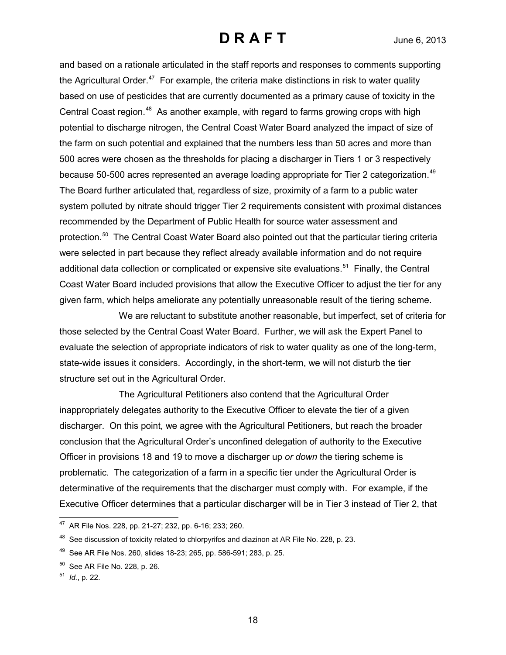and based on a rationale articulated in the staff reports and responses to comments supporting the Agricultural Order.<sup>[47](#page-17-0)</sup> For example, the criteria make distinctions in risk to water quality based on use of pesticides that are currently documented as a primary cause of toxicity in the Central Coast region.<sup>48</sup> As another example, with regard to farms growing crops with high potential to discharge nitrogen, the Central Coast Water Board analyzed the impact of size of the farm on such potential and explained that the numbers less than 50 acres and more than 500 acres were chosen as the thresholds for placing a discharger in Tiers 1 or 3 respectively because 50-500 acres represented an average loading appropriate for Tier 2 categorization.<sup>[49](#page-17-2)</sup> The Board further articulated that, regardless of size, proximity of a farm to a public water system polluted by nitrate should trigger Tier 2 requirements consistent with proximal distances recommended by the Department of Public Health for source water assessment and protection.<sup>[50](#page-17-3)</sup> The Central Coast Water Board also pointed out that the particular tiering criteria were selected in part because they reflect already available information and do not require additional data collection or complicated or expensive site evaluations.<sup>[51](#page-17-4)</sup> Finally, the Central Coast Water Board included provisions that allow the Executive Officer to adjust the tier for any given farm, which helps ameliorate any potentially unreasonable result of the tiering scheme.

We are reluctant to substitute another reasonable, but imperfect, set of criteria for those selected by the Central Coast Water Board. Further, we will ask the Expert Panel to evaluate the selection of appropriate indicators of risk to water quality as one of the long-term, state-wide issues it considers. Accordingly, in the short-term, we will not disturb the tier structure set out in the Agricultural Order.

The Agricultural Petitioners also contend that the Agricultural Order inappropriately delegates authority to the Executive Officer to elevate the tier of a given discharger. On this point, we agree with the Agricultural Petitioners, but reach the broader conclusion that the Agricultural Order's unconfined delegation of authority to the Executive Officer in provisions 18 and 19 to move a discharger up *or down* the tiering scheme is problematic. The categorization of a farm in a specific tier under the Agricultural Order is determinative of the requirements that the discharger must comply with. For example, if the Executive Officer determines that a particular discharger will be in Tier 3 instead of Tier 2, that

<span id="page-17-0"></span> $\overline{\phantom{a}}$ <sup>47</sup> AR File Nos. 228, pp. 21-27; 232, pp. 6-16; 233; 260.

<span id="page-17-1"></span> $48$  See discussion of toxicity related to chlorpyrifos and diazinon at AR File No. 228, p. 23.

<span id="page-17-2"></span> $49$  See AR File Nos. 260, slides 18-23; 265, pp. 586-591; 283, p. 25.

<span id="page-17-3"></span> $50$  See AR File No. 228, p. 26.

<span id="page-17-4"></span><sup>51</sup> *Id.*, p. 22.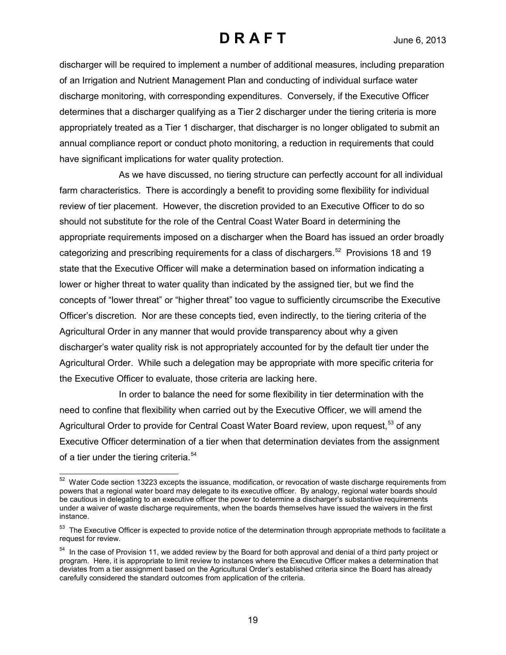discharger will be required to implement a number of additional measures, including preparation of an Irrigation and Nutrient Management Plan and conducting of individual surface water discharge monitoring, with corresponding expenditures. Conversely, if the Executive Officer determines that a discharger qualifying as a Tier 2 discharger under the tiering criteria is more appropriately treated as a Tier 1 discharger, that discharger is no longer obligated to submit an annual compliance report or conduct photo monitoring, a reduction in requirements that could have significant implications for water quality protection.

As we have discussed, no tiering structure can perfectly account for all individual farm characteristics. There is accordingly a benefit to providing some flexibility for individual review of tier placement. However, the discretion provided to an Executive Officer to do so should not substitute for the role of the Central Coast Water Board in determining the appropriate requirements imposed on a discharger when the Board has issued an order broadly categorizing and prescribing requirements for a class of dischargers.<sup>52</sup> Provisions 18 and 19 state that the Executive Officer will make a determination based on information indicating a lower or higher threat to water quality than indicated by the assigned tier, but we find the concepts of "lower threat" or "higher threat" too vague to sufficiently circumscribe the Executive Officer's discretion. Nor are these concepts tied, even indirectly, to the tiering criteria of the Agricultural Order in any manner that would provide transparency about why a given discharger's water quality risk is not appropriately accounted for by the default tier under the Agricultural Order. While such a delegation may be appropriate with more specific criteria for the Executive Officer to evaluate, those criteria are lacking here.

In order to balance the need for some flexibility in tier determination with the need to confine that flexibility when carried out by the Executive Officer, we will amend the Agricultural Order to provide for Central Coast Water Board review, upon request,<sup>[53](#page-18-1)</sup> of any Executive Officer determination of a tier when that determination deviates from the assignment of a tier under the tiering criteria.<sup>[54](#page-18-2)</sup>

<span id="page-18-0"></span> $\overline{a}$  $52$  Water Code section 13223 excepts the issuance, modification, or revocation of waste discharge requirements from powers that a regional water board may delegate to its executive officer. By analogy, regional water boards should be cautious in delegating to an executive officer the power to determine a discharger's substantive requirements under a waiver of waste discharge requirements, when the boards themselves have issued the waivers in the first instance.

<span id="page-18-1"></span> $53$  The Executive Officer is expected to provide notice of the determination through appropriate methods to facilitate a request for review.

<span id="page-18-2"></span><sup>&</sup>lt;sup>54</sup> In the case of Provision 11, we added review by the Board for both approval and denial of a third party project or program. Here, it is appropriate to limit review to instances where the Executive Officer makes a determination that deviates from a tier assignment based on the Agricultural Order's established criteria since the Board has already carefully considered the standard outcomes from application of the criteria.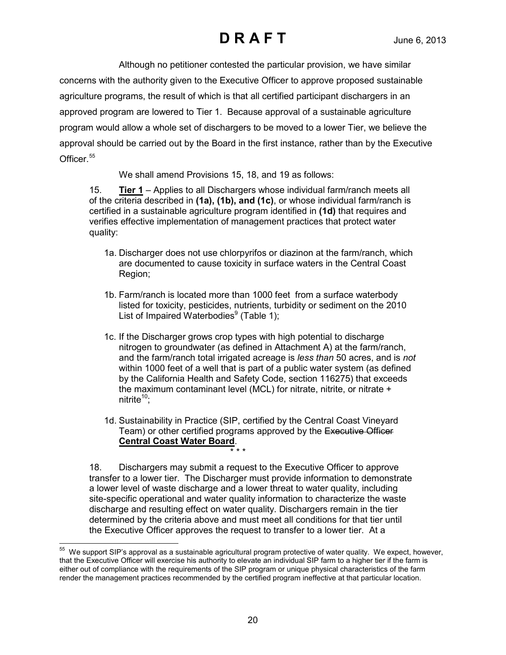Although no petitioner contested the particular provision, we have similar concerns with the authority given to the Executive Officer to approve proposed sustainable agriculture programs, the result of which is that all certified participant dischargers in an approved program are lowered to Tier 1. Because approval of a sustainable agriculture program would allow a whole set of dischargers to be moved to a lower Tier, we believe the approval should be carried out by the Board in the first instance, rather than by the Executive Officer.<sup>[55](#page-19-0)</sup>

We shall amend Provisions 15, 18, and 19 as follows:

15. **Tier 1** – Applies to all Dischargers whose individual farm/ranch meets all of the criteria described in **(1a), (1b), and (1c)**, or whose individual farm/ranch is certified in a sustainable agriculture program identified in **(1d)** that requires and verifies effective implementation of management practices that protect water quality:

- 1a. Discharger does not use chlorpyrifos or diazinon at the farm/ranch, which are documented to cause toxicity in surface waters in the Central Coast Region;
- 1b. Farm/ranch is located more than 1000 feet from a surface waterbody listed for toxicity, pesticides, nutrients, turbidity or sediment on the 2010 List of Impaired Waterbodies $9$  (Table 1);
- 1c. If the Discharger grows crop types with high potential to discharge nitrogen to groundwater (as defined in Attachment A) at the farm/ranch, and the farm/ranch total irrigated acreage is *less than* 50 acres, and is *not*  within 1000 feet of a well that is part of a public water system (as defined by the California Health and Safety Code, section 116275) that exceeds the maximum contaminant level (MCL) for nitrate, nitrite, or nitrate + nitrite $10$ :
- 1d. Sustainability in Practice (SIP, certified by the Central Coast Vineyard Team) or other certified programs approved by the Executive Officer **Central Coast Water Board**.

\* \* \*

18. Dischargers may submit a request to the Executive Officer to approve transfer to a lower tier. The Discharger must provide information to demonstrate a lower level of waste discharge and a lower threat to water quality, including site-specific operational and water quality information to characterize the waste discharge and resulting effect on water quality. Dischargers remain in the tier determined by the criteria above and must meet all conditions for that tier until the Executive Officer approves the request to transfer to a lower tier. At a

<span id="page-19-0"></span> $\overline{a}$  $55$  We support SIP's approval as a sustainable agricultural program protective of water quality. We expect, however, that the Executive Officer will exercise his authority to elevate an individual SIP farm to a higher tier if the farm is either out of compliance with the requirements of the SIP program or unique physical characteristics of the farm render the management practices recommended by the certified program ineffective at that particular location.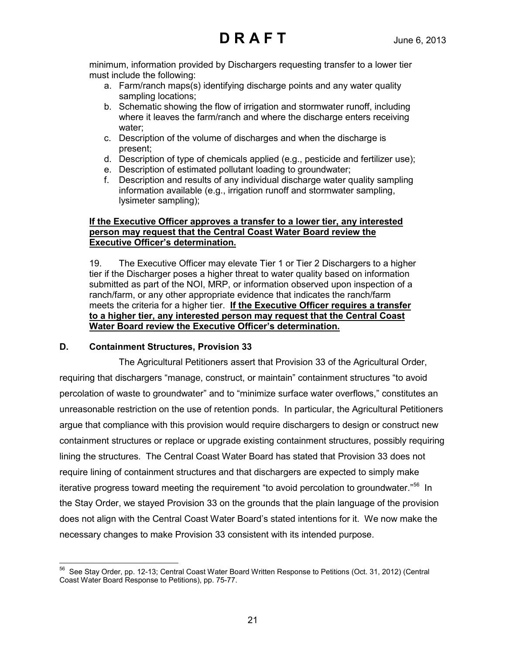minimum, information provided by Dischargers requesting transfer to a lower tier must include the following:

- a. Farm/ranch maps(s) identifying discharge points and any water quality sampling locations;
- b. Schematic showing the flow of irrigation and stormwater runoff, including where it leaves the farm/ranch and where the discharge enters receiving water;
- c. Description of the volume of discharges and when the discharge is present;
- d. Description of type of chemicals applied (e.g., pesticide and fertilizer use);
- e. Description of estimated pollutant loading to groundwater;
- f. Description and results of any individual discharge water quality sampling information available (e.g., irrigation runoff and stormwater sampling, lysimeter sampling);

### **If the Executive Officer approves a transfer to a lower tier, any interested person may request that the Central Coast Water Board review the Executive Officer's determination.**

19. The Executive Officer may elevate Tier 1 or Tier 2 Dischargers to a higher tier if the Discharger poses a higher threat to water quality based on information submitted as part of the NOI, MRP, or information observed upon inspection of a ranch/farm, or any other appropriate evidence that indicates the ranch/farm meets the criteria for a higher tier. **If the Executive Officer requires a transfer to a higher tier, any interested person may request that the Central Coast Water Board review the Executive Officer's determination.**

## **D. Containment Structures, Provision 33**

The Agricultural Petitioners assert that Provision 33 of the Agricultural Order, requiring that dischargers "manage, construct, or maintain" containment structures "to avoid percolation of waste to groundwater" and to "minimize surface water overflows," constitutes an unreasonable restriction on the use of retention ponds. In particular, the Agricultural Petitioners argue that compliance with this provision would require dischargers to design or construct new containment structures or replace or upgrade existing containment structures, possibly requiring lining the structures. The Central Coast Water Board has stated that Provision 33 does not require lining of containment structures and that dischargers are expected to simply make iterative progress toward meeting the requirement "to avoid percolation to groundwater."<sup>56</sup> In the Stay Order, we stayed Provision 33 on the grounds that the plain language of the provision does not align with the Central Coast Water Board's stated intentions for it. We now make the necessary changes to make Provision 33 consistent with its intended purpose.

<span id="page-20-0"></span> $\overline{a}$  $^{56}$  See Stay Order, pp. 12-13; Central Coast Water Board Written Response to Petitions (Oct. 31, 2012) (Central Coast Water Board Response to Petitions), pp. 75-77.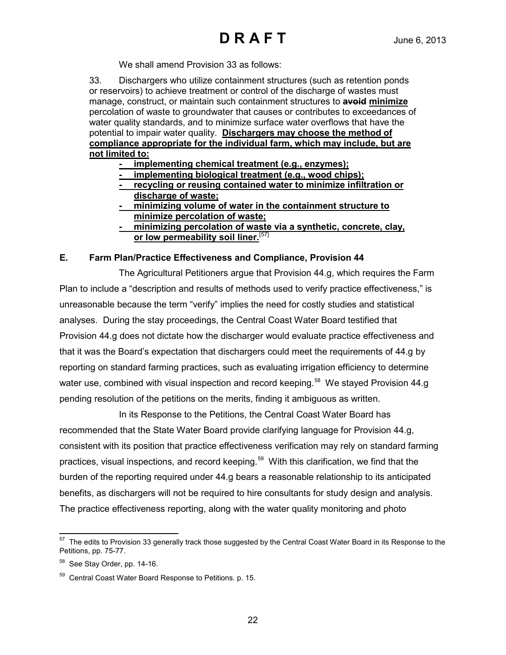We shall amend Provision 33 as follows:

33. Dischargers who utilize containment structures (such as retention ponds or reservoirs) to achieve treatment or control of the discharge of wastes must manage, construct, or maintain such containment structures to **avoid minimize** percolation of waste to groundwater that causes or contributes to exceedances of water quality standards, and to minimize surface water overflows that have the potential to impair water quality. **Dischargers may choose the method of compliance appropriate for the individual farm, which may include, but are not limited to:**

- **implementing chemical treatment (e.g., enzymes);**
- **implementing biological treatment (e.g., wood chips);**
- **recycling or reusing contained water to minimize infiltration or discharge of waste;**
- **minimizing volume of water in the containment structure to minimize percolation of waste;**
- **minimizing percolation of waste via a synthetic, concrete, clay, or low permeability soil liner.** [[57\]](#page-21-0)

### **E. Farm Plan/Practice Effectiveness and Compliance, Provision 44**

The Agricultural Petitioners argue that Provision 44.g, which requires the Farm Plan to include a "description and results of methods used to verify practice effectiveness," is unreasonable because the term "verify" implies the need for costly studies and statistical analyses. During the stay proceedings, the Central Coast Water Board testified that Provision 44.g does not dictate how the discharger would evaluate practice effectiveness and that it was the Board's expectation that dischargers could meet the requirements of 44.g by reporting on standard farming practices, such as evaluating irrigation efficiency to determine water use, combined with visual inspection and record keeping.<sup>58</sup> We stayed Provision 44.g pending resolution of the petitions on the merits, finding it ambiguous as written.

In its Response to the Petitions, the Central Coast Water Board has recommended that the State Water Board provide clarifying language for Provision 44.g, consistent with its position that practice effectiveness verification may rely on standard farming practices, visual inspections, and record keeping.<sup>[59](#page-21-2)</sup> With this clarification, we find that the burden of the reporting required under 44.g bears a reasonable relationship to its anticipated benefits, as dischargers will not be required to hire consultants for study design and analysis. The practice effectiveness reporting, along with the water quality monitoring and photo

<span id="page-21-0"></span> $\overline{a}$  $57$  The edits to Provision 33 generally track those suggested by the Central Coast Water Board in its Response to the Petitions, pp. 75-77.

<span id="page-21-1"></span> $58$  See Stay Order, pp. 14-16.

<span id="page-21-2"></span><sup>59</sup> Central Coast Water Board Response to Petitions. p. 15.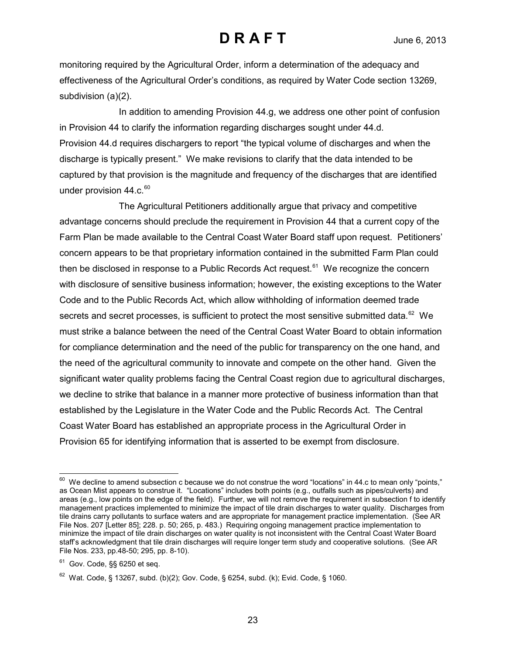monitoring required by the Agricultural Order, inform a determination of the adequacy and effectiveness of the Agricultural Order's conditions, as required by Water Code section 13269, subdivision (a)(2).

In addition to amending Provision 44.g, we address one other point of confusion in Provision 44 to clarify the information regarding discharges sought under 44.d. Provision 44.d requires dischargers to report "the typical volume of discharges and when the discharge is typically present." We make revisions to clarify that the data intended to be captured by that provision is the magnitude and frequency of the discharges that are identified under provision 44.c.<sup>[60](#page-22-0)</sup>

The Agricultural Petitioners additionally argue that privacy and competitive advantage concerns should preclude the requirement in Provision 44 that a current copy of the Farm Plan be made available to the Central Coast Water Board staff upon request. Petitioners' concern appears to be that proprietary information contained in the submitted Farm Plan could then be disclosed in response to a Public Records Act request.<sup>[61](#page-22-1)</sup> We recognize the concern with disclosure of sensitive business information; however, the existing exceptions to the Water Code and to the Public Records Act, which allow withholding of information deemed trade secrets and secret processes, is sufficient to protect the most sensitive submitted data.<sup>62</sup> We must strike a balance between the need of the Central Coast Water Board to obtain information for compliance determination and the need of the public for transparency on the one hand, and the need of the agricultural community to innovate and compete on the other hand. Given the significant water quality problems facing the Central Coast region due to agricultural discharges, we decline to strike that balance in a manner more protective of business information than that established by the Legislature in the Water Code and the Public Records Act. The Central Coast Water Board has established an appropriate process in the Agricultural Order in Provision 65 for identifying information that is asserted to be exempt from disclosure.

 $\overline{a}$ 

<span id="page-22-0"></span> $^{60}$  We decline to amend subsection c because we do not construe the word "locations" in 44.c to mean only "points," as Ocean Mist appears to construe it. "Locations" includes both points (e.g., outfalls such as pipes/culverts) and areas (e.g., low points on the edge of the field). Further, we will not remove the requirement in subsection f to identify management practices implemented to minimize the impact of tile drain discharges to water quality. Discharges from tile drains carry pollutants to surface waters and are appropriate for management practice implementation. (See AR File Nos. 207 [Letter 85]; 228. p. 50; 265, p. 483.) Requiring ongoing management practice implementation to minimize the impact of tile drain discharges on water quality is not inconsistent with the Central Coast Water Board staff's acknowledgment that tile drain discharges will require longer term study and cooperative solutions. (See AR File Nos. 233, pp.48-50; 295, pp. 8-10).

<span id="page-22-1"></span> $61$  Gov. Code, §§ 6250 et seq.

<span id="page-22-2"></span> $62$  Wat. Code, § 13267, subd. (b)(2); Gov. Code, § 6254, subd. (k); Evid. Code, § 1060.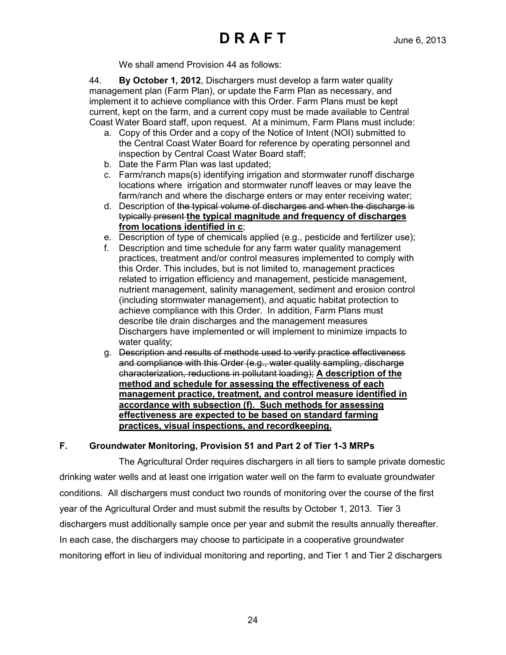We shall amend Provision 44 as follows:

44. **By October 1, 2012**, Dischargers must develop a farm water quality management plan (Farm Plan), or update the Farm Plan as necessary, and implement it to achieve compliance with this Order. Farm Plans must be kept current, kept on the farm, and a current copy must be made available to Central Coast Water Board staff, upon request. At a minimum, Farm Plans must include:

- a. Copy of this Order and a copy of the Notice of Intent (NOI) submitted to the Central Coast Water Board for reference by operating personnel and inspection by Central Coast Water Board staff;
- b. Date the Farm Plan was last updated;
- c. Farm/ranch maps(s) identifying irrigation and stormwater runoff discharge locations where irrigation and stormwater runoff leaves or may leave the farm/ranch and where the discharge enters or may enter receiving water;
- d. Description of the typical volume of discharges and when the discharge is typically present **the typical magnitude and frequency of discharges from locations identified in c**;
- e. Description of type of chemicals applied (e.g., pesticide and fertilizer use);
- f. Description and time schedule for any farm water quality management practices, treatment and/or control measures implemented to comply with this Order. This includes, but is not limited to, management practices related to irrigation efficiency and management, pesticide management, nutrient management, salinity management, sediment and erosion control (including stormwater management), and aquatic habitat protection to achieve compliance with this Order. In addition, Farm Plans must describe tile drain discharges and the management measures Dischargers have implemented or will implement to minimize impacts to water quality;
- g. Description and results of methods used to verify practice effectiveness and compliance with this Order (e.g., water quality sampling, discharge characterization, reductions in pollutant loading); **A description of the method and schedule for assessing the effectiveness of each management practice, treatment, and control measure identified in accordance with subsection (f). Such methods for assessing effectiveness are expected to be based on standard farming practices, visual inspections, and recordkeeping.**

## **F. Groundwater Monitoring, Provision 51 and Part 2 of Tier 1-3 MRPs**

The Agricultural Order requires dischargers in all tiers to sample private domestic drinking water wells and at least one irrigation water well on the farm to evaluate groundwater conditions. All dischargers must conduct two rounds of monitoring over the course of the first year of the Agricultural Order and must submit the results by October 1, 2013. Tier 3 dischargers must additionally sample once per year and submit the results annually thereafter. In each case, the dischargers may choose to participate in a cooperative groundwater monitoring effort in lieu of individual monitoring and reporting, and Tier 1 and Tier 2 dischargers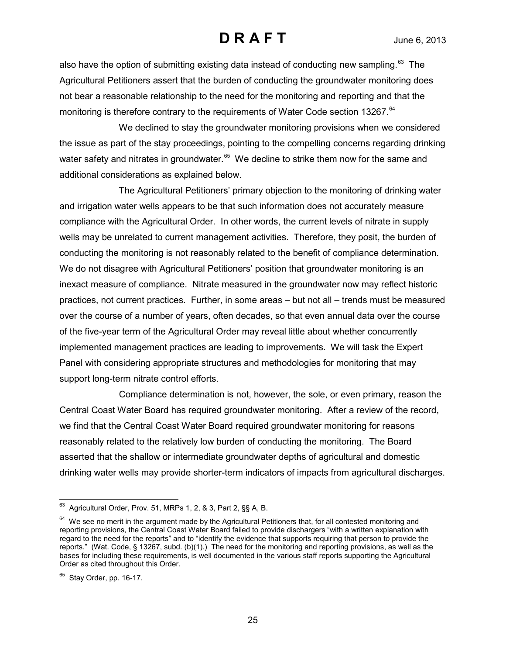also have the option of submitting existing data instead of conducting new sampling.<sup>63</sup> The Agricultural Petitioners assert that the burden of conducting the groundwater monitoring does not bear a reasonable relationship to the need for the monitoring and reporting and that the monitoring is therefore contrary to the requirements of Water Code section 13267.<sup>[64](#page-24-1)</sup>

We declined to stay the groundwater monitoring provisions when we considered the issue as part of the stay proceedings, pointing to the compelling concerns regarding drinking water safety and nitrates in groundwater. $65$  We decline to strike them now for the same and additional considerations as explained below.

The Agricultural Petitioners' primary objection to the monitoring of drinking water and irrigation water wells appears to be that such information does not accurately measure compliance with the Agricultural Order. In other words, the current levels of nitrate in supply wells may be unrelated to current management activities. Therefore, they posit, the burden of conducting the monitoring is not reasonably related to the benefit of compliance determination. We do not disagree with Agricultural Petitioners' position that groundwater monitoring is an inexact measure of compliance. Nitrate measured in the groundwater now may reflect historic practices, not current practices. Further, in some areas – but not all – trends must be measured over the course of a number of years, often decades, so that even annual data over the course of the five-year term of the Agricultural Order may reveal little about whether concurrently implemented management practices are leading to improvements. We will task the Expert Panel with considering appropriate structures and methodologies for monitoring that may support long-term nitrate control efforts.

Compliance determination is not, however, the sole, or even primary, reason the Central Coast Water Board has required groundwater monitoring. After a review of the record, we find that the Central Coast Water Board required groundwater monitoring for reasons reasonably related to the relatively low burden of conducting the monitoring. The Board asserted that the shallow or intermediate groundwater depths of agricultural and domestic drinking water wells may provide shorter-term indicators of impacts from agricultural discharges.

<span id="page-24-0"></span> $\overline{a}$  $^{63}$  Agricultural Order, Prov. 51, MRPs 1, 2, & 3, Part 2,  $\S$ § A, B.

<span id="page-24-1"></span><sup>&</sup>lt;sup>64</sup> We see no merit in the argument made by the Agricultural Petitioners that, for all contested monitoring and reporting provisions, the Central Coast Water Board failed to provide dischargers "with a written explanation with regard to the need for the reports" and to "identify the evidence that supports requiring that person to provide the reports." (Wat. Code, § 13267, subd. (b)(1).) The need for the monitoring and reporting provisions, as well as the bases for including these requirements, is well documented in the various staff reports supporting the Agricultural Order as cited throughout this Order.

<span id="page-24-2"></span> $65$  Stay Order, pp. 16-17.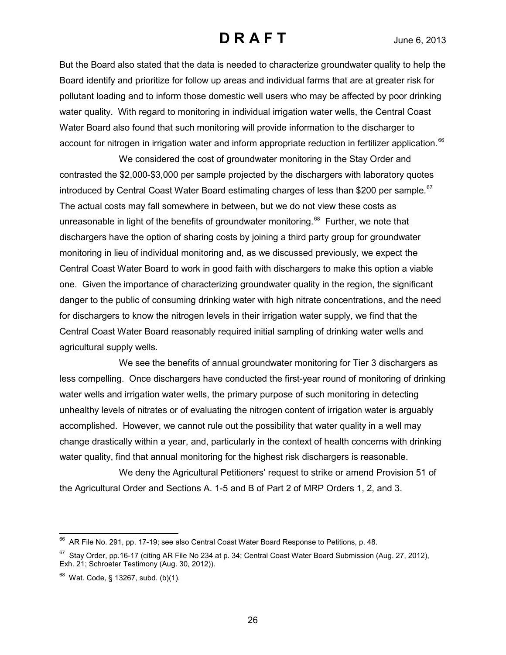But the Board also stated that the data is needed to characterize groundwater quality to help the Board identify and prioritize for follow up areas and individual farms that are at greater risk for pollutant loading and to inform those domestic well users who may be affected by poor drinking water quality. With regard to monitoring in individual irrigation water wells, the Central Coast Water Board also found that such monitoring will provide information to the discharger to account for nitrogen in irrigation water and inform appropriate reduction in fertilizer application.<sup>[66](#page-25-0)</sup>

We considered the cost of groundwater monitoring in the Stay Order and contrasted the \$2,000-\$3,000 per sample projected by the dischargers with laboratory quotes introduced by Central Coast Water Board estimating charges of less than \$200 per sample.<sup>67</sup> The actual costs may fall somewhere in between, but we do not view these costs as unreasonable in light of the benefits of groundwater monitoring.<sup>[68](#page-25-2)</sup> Further, we note that dischargers have the option of sharing costs by joining a third party group for groundwater monitoring in lieu of individual monitoring and, as we discussed previously, we expect the Central Coast Water Board to work in good faith with dischargers to make this option a viable one. Given the importance of characterizing groundwater quality in the region, the significant danger to the public of consuming drinking water with high nitrate concentrations, and the need for dischargers to know the nitrogen levels in their irrigation water supply, we find that the Central Coast Water Board reasonably required initial sampling of drinking water wells and agricultural supply wells.

We see the benefits of annual groundwater monitoring for Tier 3 dischargers as less compelling. Once dischargers have conducted the first-year round of monitoring of drinking water wells and irrigation water wells, the primary purpose of such monitoring in detecting unhealthy levels of nitrates or of evaluating the nitrogen content of irrigation water is arguably accomplished. However, we cannot rule out the possibility that water quality in a well may change drastically within a year, and, particularly in the context of health concerns with drinking water quality, find that annual monitoring for the highest risk dischargers is reasonable.

We deny the Agricultural Petitioners' request to strike or amend Provision 51 of the Agricultural Order and Sections A. 1-5 and B of Part 2 of MRP Orders 1, 2, and 3.

<span id="page-25-0"></span> $\overline{a}$  $^{66}$  AR File No. 291, pp. 17-19; see also Central Coast Water Board Response to Petitions, p. 48.

<span id="page-25-1"></span><sup>&</sup>lt;sup>67</sup> Stay Order, pp.16-17 (citing AR File No 234 at p. 34; Central Coast Water Board Submission (Aug. 27, 2012), Exh. 21; Schroeter Testimony (Aug. 30, 2012)).

<span id="page-25-2"></span> $68$  Wat. Code, § 13267, subd. (b)(1).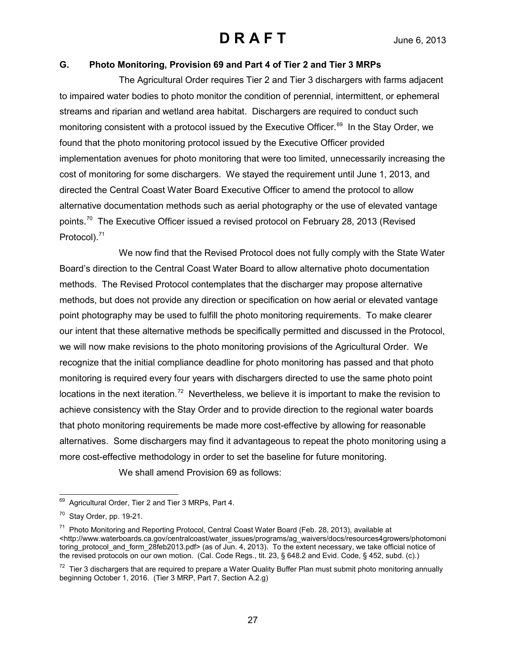### **G. Photo Monitoring, Provision 69 and Part 4 of Tier 2 and Tier 3 MRPs**

The Agricultural Order requires Tier 2 and Tier 3 dischargers with farms adjacent to impaired water bodies to photo monitor the condition of perennial, intermittent, or ephemeral streams and riparian and wetland area habitat. Dischargers are required to conduct such monitoring consistent with a protocol issued by the Executive Officer.<sup>69</sup> In the Stay Order, we found that the photo monitoring protocol issued by the Executive Officer provided implementation avenues for photo monitoring that were too limited, unnecessarily increasing the cost of monitoring for some dischargers. We stayed the requirement until June 1, 2013, and directed the Central Coast Water Board Executive Officer to amend the protocol to allow alternative documentation methods such as aerial photography or the use of elevated vantage points.<sup>[70](#page-26-1)</sup> The Executive Officer issued a revised protocol on February 28, 2013 (Revised Protocol). [71](#page-26-2)

We now find that the Revised Protocol does not fully comply with the State Water Board's direction to the Central Coast Water Board to allow alternative photo documentation methods. The Revised Protocol contemplates that the discharger may propose alternative methods, but does not provide any direction or specification on how aerial or elevated vantage point photography may be used to fulfill the photo monitoring requirements. To make clearer our intent that these alternative methods be specifically permitted and discussed in the Protocol, we will now make revisions to the photo monitoring provisions of the Agricultural Order. We recognize that the initial compliance deadline for photo monitoring has passed and that photo monitoring is required every four years with dischargers directed to use the same photo point locations in the next iteration.<sup>[72](#page-26-3)</sup> Nevertheless, we believe it is important to make the revision to achieve consistency with the Stay Order and to provide direction to the regional water boards that photo monitoring requirements be made more cost-effective by allowing for reasonable alternatives. Some dischargers may find it advantageous to repeat the photo monitoring using a more cost-effective methodology in order to set the baseline for future monitoring.

We shall amend Provision 69 as follows:

<span id="page-26-0"></span> $\overline{a}$ Agricultural Order, Tier 2 and Tier 3 MRPs, Part 4.

<span id="page-26-1"></span> $70$  Stay Order, pp. 19-21.

<span id="page-26-2"></span><sup>&</sup>lt;sup>71</sup> Photo Monitoring and Reporting Protocol, Central Coast Water Board (Feb. 28, 2013), available at <http://www.waterboards.ca.gov/centralcoast/water\_issues/programs/ag\_waivers/docs/resources4growers/photomoni toring\_protocol\_and\_form\_28feb2013.pdf> (as of Jun. 4, 2013). To the extent necessary, we take official notice of the revised protocols on our own motion. (Cal. Code Regs., tit. 23, § 648.2 and Evid. Code, § 452, subd. (c).)

<span id="page-26-3"></span> $72$  Tier 3 dischargers that are required to prepare a Water Quality Buffer Plan must submit photo monitoring annually beginning October 1, 2016. (Tier 3 MRP, Part 7, Section A.2.g)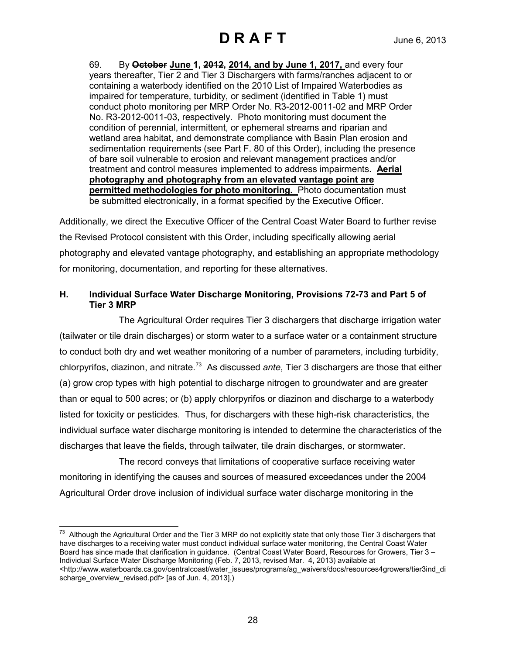69. By **October June 1, 2012, 2014, and by June 1, 2017,** and every four years thereafter, Tier 2 and Tier 3 Dischargers with farms/ranches adjacent to or containing a waterbody identified on the 2010 List of Impaired Waterbodies as impaired for temperature, turbidity, or sediment (identified in Table 1) must conduct photo monitoring per MRP Order No. R3-2012-0011-02 and MRP Order No. R3-2012-0011-03, respectively. Photo monitoring must document the condition of perennial, intermittent, or ephemeral streams and riparian and wetland area habitat, and demonstrate compliance with Basin Plan erosion and sedimentation requirements (see Part F. 80 of this Order), including the presence of bare soil vulnerable to erosion and relevant management practices and/or treatment and control measures implemented to address impairments. **Aerial photography and photography from an elevated vantage point are permitted methodologies for photo monitoring.** Photo documentation must be submitted electronically, in a format specified by the Executive Officer.

Additionally, we direct the Executive Officer of the Central Coast Water Board to further revise the Revised Protocol consistent with this Order, including specifically allowing aerial photography and elevated vantage photography, and establishing an appropriate methodology for monitoring, documentation, and reporting for these alternatives.

### **H. Individual Surface Water Discharge Monitoring, Provisions 72-73 and Part 5 of Tier 3 MRP**

The Agricultural Order requires Tier 3 dischargers that discharge irrigation water (tailwater or tile drain discharges) or storm water to a surface water or a containment structure to conduct both dry and wet weather monitoring of a number of parameters, including turbidity, chlorpyrifos, diazinon, and nitrate.<sup>[73](#page-27-0)</sup> As discussed ante, Tier 3 dischargers are those that either (a) grow crop types with high potential to discharge nitrogen to groundwater and are greater than or equal to 500 acres; or (b) apply chlorpyrifos or diazinon and discharge to a waterbody listed for toxicity or pesticides. Thus, for dischargers with these high-risk characteristics, the individual surface water discharge monitoring is intended to determine the characteristics of the discharges that leave the fields, through tailwater, tile drain discharges, or stormwater.

The record conveys that limitations of cooperative surface receiving water monitoring in identifying the causes and sources of measured exceedances under the 2004 Agricultural Order drove inclusion of individual surface water discharge monitoring in the

<span id="page-27-0"></span> $\overline{a}$  $^{73}$  Although the Agricultural Order and the Tier 3 MRP do not explicitly state that only those Tier 3 dischargers that have discharges to a receiving water must conduct individual surface water monitoring, the Central Coast Water Board has since made that clarification in guidance. (Central Coast Water Board, Resources for Growers, Tier 3 – Individual Surface Water Discharge Monitoring (Feb. 7, 2013, revised Mar. 4, 2013) available at [<http://www.waterboards.ca.gov/centralcoast/water\\_issues/programs/ag\\_waivers/docs/resources4growers/tier3ind\\_di](http://www.waterboards.ca.gov/centralcoast/water_issues/programs/ag_waivers/docs/resources4growers/tier3ind_discharge_overview_revised.pdf) [scharge\\_overview\\_revised.pdf>](http://www.waterboards.ca.gov/centralcoast/water_issues/programs/ag_waivers/docs/resources4growers/tier3ind_discharge_overview_revised.pdf) [as of Jun. 4, 2013].)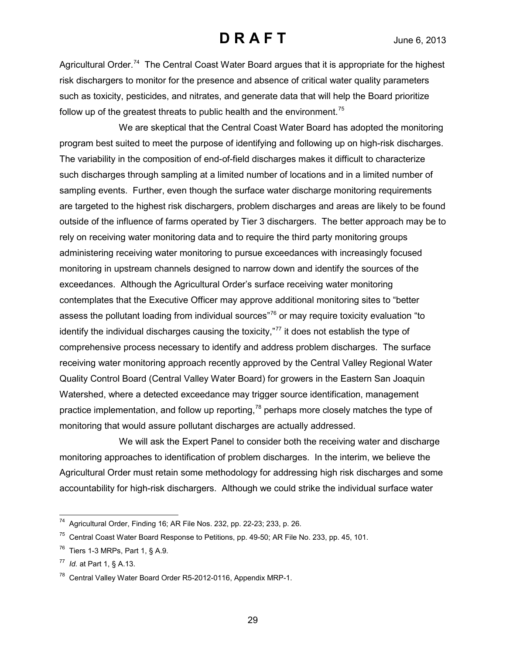Agricultural Order.<sup>74</sup> The Central Coast Water Board argues that it is appropriate for the highest risk dischargers to monitor for the presence and absence of critical water quality parameters such as toxicity, pesticides, and nitrates, and generate data that will help the Board prioritize follow up of the greatest threats to public health and the environment.<sup>[75](#page-28-1)</sup>

We are skeptical that the Central Coast Water Board has adopted the monitoring program best suited to meet the purpose of identifying and following up on high-risk discharges. The variability in the composition of end-of-field discharges makes it difficult to characterize such discharges through sampling at a limited number of locations and in a limited number of sampling events. Further, even though the surface water discharge monitoring requirements are targeted to the highest risk dischargers, problem discharges and areas are likely to be found outside of the influence of farms operated by Tier 3 dischargers. The better approach may be to rely on receiving water monitoring data and to require the third party monitoring groups administering receiving water monitoring to pursue exceedances with increasingly focused monitoring in upstream channels designed to narrow down and identify the sources of the exceedances. Although the Agricultural Order's surface receiving water monitoring contemplates that the Executive Officer may approve additional monitoring sites to "better assess the pollutant loading from individual sources"<sup>[76](#page-28-2)</sup> or may require toxicity evaluation "to identify the individual discharges causing the toxicity,"<sup>[77](#page-28-3)</sup> it does not establish the type of comprehensive process necessary to identify and address problem discharges. The surface receiving water monitoring approach recently approved by the Central Valley Regional Water Quality Control Board (Central Valley Water Board) for growers in the Eastern San Joaquin Watershed, where a detected exceedance may trigger source identification, management practice implementation, and follow up reporting,  $78$  perhaps more closely matches the type of monitoring that would assure pollutant discharges are actually addressed.

We will ask the Expert Panel to consider both the receiving water and discharge monitoring approaches to identification of problem discharges. In the interim, we believe the Agricultural Order must retain some methodology for addressing high risk discharges and some accountability for high-risk dischargers. Although we could strike the individual surface water

<span id="page-28-0"></span> $\overline{a}$  $74$  Agricultural Order, Finding 16; AR File Nos. 232, pp. 22-23; 233, p. 26.

<span id="page-28-1"></span> $75$  Central Coast Water Board Response to Petitions, pp. 49-50; AR File No. 233, pp. 45, 101.

<span id="page-28-2"></span> $76$  Tiers 1-3 MRPs, Part 1, § A.9.

<span id="page-28-3"></span><sup>77</sup> *Id.* at Part 1, § A.13.

<span id="page-28-4"></span><sup>78</sup> Central Valley Water Board Order R5-2012-0116, Appendix MRP-1.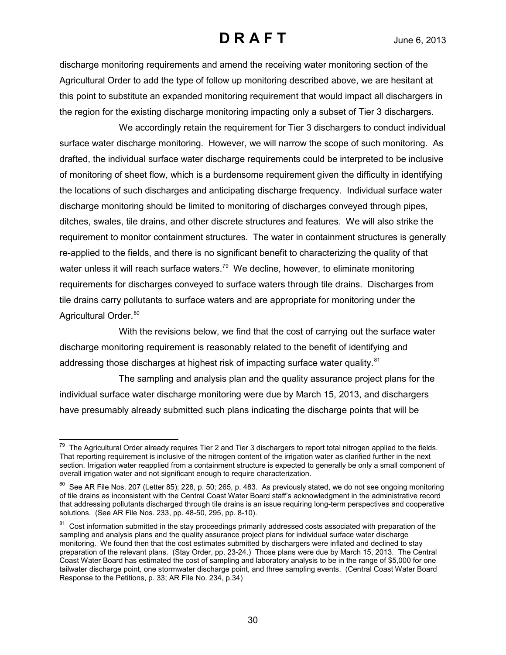discharge monitoring requirements and amend the receiving water monitoring section of the Agricultural Order to add the type of follow up monitoring described above, we are hesitant at this point to substitute an expanded monitoring requirement that would impact all dischargers in the region for the existing discharge monitoring impacting only a subset of Tier 3 dischargers.

We accordingly retain the requirement for Tier 3 dischargers to conduct individual surface water discharge monitoring. However, we will narrow the scope of such monitoring. As drafted, the individual surface water discharge requirements could be interpreted to be inclusive of monitoring of sheet flow, which is a burdensome requirement given the difficulty in identifying the locations of such discharges and anticipating discharge frequency. Individual surface water discharge monitoring should be limited to monitoring of discharges conveyed through pipes, ditches, swales, tile drains, and other discrete structures and features. We will also strike the requirement to monitor containment structures. The water in containment structures is generally re-applied to the fields, and there is no significant benefit to characterizing the quality of that water unless it will reach surface waters.<sup>79</sup> We decline, however, to eliminate monitoring requirements for discharges conveyed to surface waters through tile drains. Discharges from tile drains carry pollutants to surface waters and are appropriate for monitoring under the Agricultural Order.<sup>[80](#page-29-1)</sup>

With the revisions below, we find that the cost of carrying out the surface water discharge monitoring requirement is reasonably related to the benefit of identifying and addressing those discharges at highest risk of impacting surface water quality.<sup>[81](#page-29-2)</sup>

The sampling and analysis plan and the quality assurance project plans for the individual surface water discharge monitoring were due by March 15, 2013, and dischargers have presumably already submitted such plans indicating the discharge points that will be

<span id="page-29-0"></span> $\overline{a}$  $^{79}$  The Agricultural Order already requires Tier 2 and Tier 3 dischargers to report total nitrogen applied to the fields. That reporting requirement is inclusive of the nitrogen content of the irrigation water as clarified further in the next section. Irrigation water reapplied from a containment structure is expected to generally be only a small component of overall irrigation water and not significant enough to require characterization.

<span id="page-29-1"></span><sup>&</sup>lt;sup>80</sup> See AR File Nos. 207 (Letter 85); 228, p. 50; 265, p. 483. As previously stated, we do not see ongoing monitoring of tile drains as inconsistent with the Central Coast Water Board staff's acknowledgment in the administrative record that addressing pollutants discharged through tile drains is an issue requiring long-term perspectives and cooperative solutions. (See AR File Nos. 233, pp. 48-50, 295, pp. 8-10).

<span id="page-29-2"></span><sup>&</sup>lt;sup>81</sup> Cost information submitted in the stay proceedings primarily addressed costs associated with preparation of the sampling and analysis plans and the quality assurance project plans for individual surface water discharge monitoring. We found then that the cost estimates submitted by dischargers were inflated and declined to stay preparation of the relevant plans. (Stay Order, pp. 23-24.) Those plans were due by March 15, 2013. The Central Coast Water Board has estimated the cost of sampling and laboratory analysis to be in the range of \$5,000 for one tailwater discharge point, one stormwater discharge point, and three sampling events. (Central Coast Water Board Response to the Petitions, p. 33; AR File No. 234, p.34)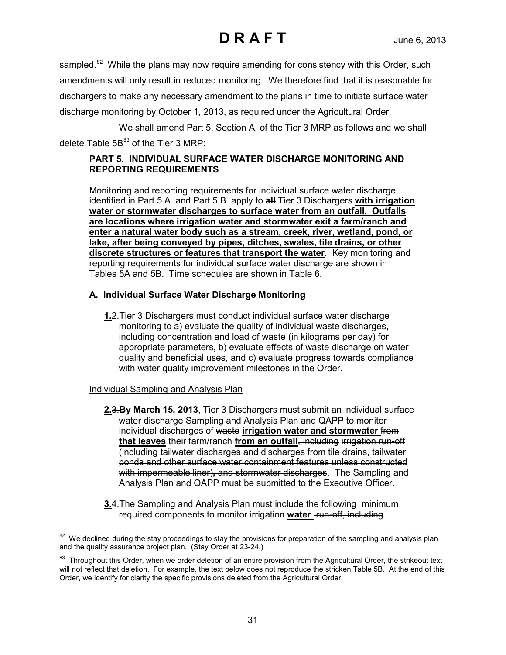sampled.<sup>[82](#page-30-0)</sup> While the plans may now require amending for consistency with this Order, such amendments will only result in reduced monitoring. We therefore find that it is reasonable for dischargers to make any necessary amendment to the plans in time to initiate surface water discharge monitoring by October 1, 2013, as required under the Agricultural Order.

We shall amend Part 5, Section A, of the Tier 3 MRP as follows and we shall delete Table  $5B^{83}$  $5B^{83}$  $5B^{83}$  of the Tier 3 MRP:

### **PART 5. INDIVIDUAL SURFACE WATER DISCHARGE MONITORING AND REPORTING REQUIREMENTS**

Monitoring and reporting requirements for individual surface water discharge identified in Part 5.A. and Part 5.B. apply to **all** Tier 3 Dischargers **with irrigation water or stormwater discharges to surface water from an outfall. Outfalls are locations where irrigation water and stormwater exit a farm/ranch and enter a natural water body such as a stream, creek, river, wetland, pond, or lake, after being conveyed by pipes, ditches, swales, tile drains, or other discrete structures or features that transport the water**. Key monitoring and reporting requirements for individual surface water discharge are shown in Tables 5A and 5B. Time schedules are shown in Table 6.

### **A. Individual Surface Water Discharge Monitoring**

**1.**2.Tier 3 Dischargers must conduct individual surface water discharge monitoring to a) evaluate the quality of individual waste discharges, including concentration and load of waste (in kilograms per day) for appropriate parameters, b) evaluate effects of waste discharge on water quality and beneficial uses, and c) evaluate progress towards compliance with water quality improvement milestones in the Order.

### Individual Sampling and Analysis Plan

- **2.**3.**By March 15, 2013**, Tier 3 Dischargers must submit an individual surface water discharge Sampling and Analysis Plan and QAPP to monitor individual discharges of waste **irrigation water and stormwater** from **that leaves** their farm/ranch **from an outfall**, including irrigation run-off (including tailwater discharges and discharges from tile drains, tailwater ponds and other surface water containment features unless constructed with impermeable liner), and stormwater discharges. The Sampling and Analysis Plan and QAPP must be submitted to the Executive Officer.
- **3.**4.The Sampling and Analysis Plan must include the following minimum required components to monitor irrigation **water** run-off, including

<span id="page-30-0"></span> $\overline{a}$  $82$  We declined during the stay proceedings to stay the provisions for preparation of the sampling and analysis plan and the quality assurance project plan. (Stay Order at 23-24.)

<span id="page-30-1"></span><sup>&</sup>lt;sup>83</sup> Throughout this Order, when we order deletion of an entire provision from the Agricultural Order, the strikeout text will not reflect that deletion. For example, the text below does not reproduce the stricken Table 5B. At the end of this Order, we identify for clarity the specific provisions deleted from the Agricultural Order.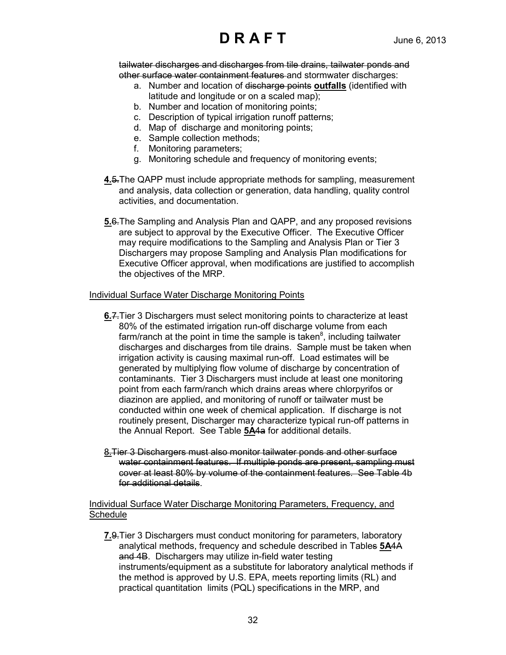tailwater discharges and discharges from tile drains, tailwater ponds and other surface water containment features and stormwater discharges:

- a. Number and location of discharge points **outfalls** (identified with latitude and longitude or on a scaled map);
- b. Number and location of monitoring points;
- c. Description of typical irrigation runoff patterns;
- d. Map of discharge and monitoring points;
- e. Sample collection methods;
- f. Monitoring parameters;
- g. Monitoring schedule and frequency of monitoring events;
- **4.**5.The QAPP must include appropriate methods for sampling, measurement and analysis, data collection or generation, data handling, quality control activities, and documentation.
- **5.**6.The Sampling and Analysis Plan and QAPP, and any proposed revisions are subject to approval by the Executive Officer. The Executive Officer may require modifications to the Sampling and Analysis Plan or Tier 3 Dischargers may propose Sampling and Analysis Plan modifications for Executive Officer approval, when modifications are justified to accomplish the objectives of the MRP.

#### Individual Surface Water Discharge Monitoring Points

- **6.**7.Tier 3 Dischargers must select monitoring points to characterize at least 80% of the estimated irrigation run-off discharge volume from each farm/ranch at the point in time the sample is taken $^8$ , including tailwater discharges and discharges from tile drains. Sample must be taken when irrigation activity is causing maximal run-off. Load estimates will be generated by multiplying flow volume of discharge by concentration of contaminants. Tier 3 Dischargers must include at least one monitoring point from each farm/ranch which drains areas where chlorpyrifos or diazinon are applied, and monitoring of runoff or tailwater must be conducted within one week of chemical application. If discharge is not routinely present, Discharger may characterize typical run-off patterns in the Annual Report. See Table **5A**4a for additional details.
- 8.Tier 3 Dischargers must also monitor tailwater ponds and other surface water containment features. If multiple ponds are present, sampling must cover at least 80% by volume of the containment features. See Table 4b for additional details.

Individual Surface Water Discharge Monitoring Parameters, Frequency, and **Schedule** 

**7.**9.Tier 3 Dischargers must conduct monitoring for parameters, laboratory analytical methods, frequency and schedule described in Tables **5A**4A and 4B. Dischargers may utilize in-field water testing instruments/equipment as a substitute for laboratory analytical methods if the method is approved by U.S. EPA, meets reporting limits (RL) and practical quantitation limits (PQL) specifications in the MRP, and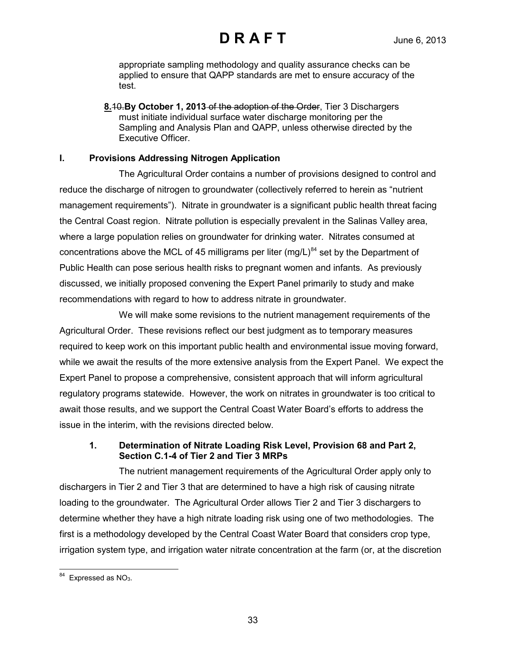appropriate sampling methodology and quality assurance checks can be applied to ensure that QAPP standards are met to ensure accuracy of the test.

**8.**10.**By October 1, 2013** of the adoption of the Order, Tier 3 Dischargers must initiate individual surface water discharge monitoring per the Sampling and Analysis Plan and QAPP, unless otherwise directed by the Executive Officer.

### **I. Provisions Addressing Nitrogen Application**

The Agricultural Order contains a number of provisions designed to control and reduce the discharge of nitrogen to groundwater (collectively referred to herein as "nutrient management requirements"). Nitrate in groundwater is a significant public health threat facing the Central Coast region. Nitrate pollution is especially prevalent in the Salinas Valley area, where a large population relies on groundwater for drinking water. Nitrates consumed at concentrations above the MCL of 45 milligrams per liter (mg/L) $^{84}$  $^{84}$  $^{84}$  set by the Department of Public Health can pose serious health risks to pregnant women and infants. As previously discussed, we initially proposed convening the Expert Panel primarily to study and make recommendations with regard to how to address nitrate in groundwater.

We will make some revisions to the nutrient management requirements of the Agricultural Order. These revisions reflect our best judgment as to temporary measures required to keep work on this important public health and environmental issue moving forward, while we await the results of the more extensive analysis from the Expert Panel. We expect the Expert Panel to propose a comprehensive, consistent approach that will inform agricultural regulatory programs statewide. However, the work on nitrates in groundwater is too critical to await those results, and we support the Central Coast Water Board's efforts to address the issue in the interim, with the revisions directed below.

### **1. Determination of Nitrate Loading Risk Level, Provision 68 and Part 2, Section C.1-4 of Tier 2 and Tier 3 MRPs**

The nutrient management requirements of the Agricultural Order apply only to dischargers in Tier 2 and Tier 3 that are determined to have a high risk of causing nitrate loading to the groundwater. The Agricultural Order allows Tier 2 and Tier 3 dischargers to determine whether they have a high nitrate loading risk using one of two methodologies. The first is a methodology developed by the Central Coast Water Board that considers crop type, irrigation system type, and irrigation water nitrate concentration at the farm (or, at the discretion

<span id="page-32-0"></span> $\overline{a}$  $84$  Expressed as NO<sub>3</sub>.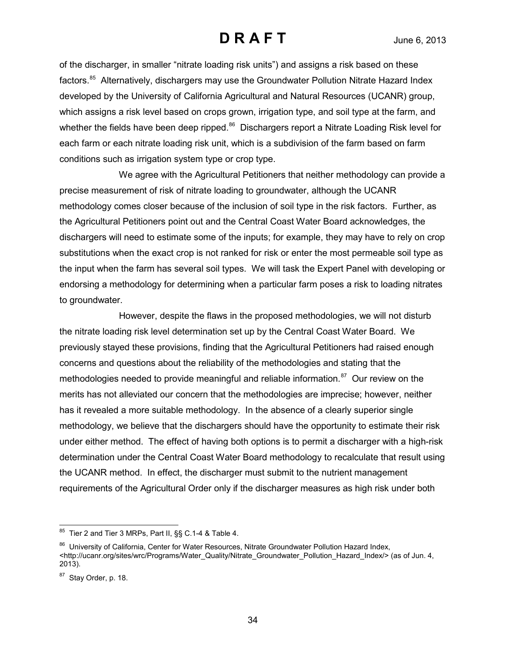of the discharger, in smaller "nitrate loading risk units") and assigns a risk based on these factors.<sup>85</sup> Alternatively, dischargers may use the Groundwater Pollution Nitrate Hazard Index developed by the University of California Agricultural and Natural Resources (UCANR) group, which assigns a risk level based on crops grown, irrigation type, and soil type at the farm, and whether the fields have been deep ripped.<sup>86</sup> Dischargers report a Nitrate Loading Risk level for each farm or each nitrate loading risk unit, which is a subdivision of the farm based on farm conditions such as irrigation system type or crop type.

We agree with the Agricultural Petitioners that neither methodology can provide a precise measurement of risk of nitrate loading to groundwater, although the UCANR methodology comes closer because of the inclusion of soil type in the risk factors. Further, as the Agricultural Petitioners point out and the Central Coast Water Board acknowledges, the dischargers will need to estimate some of the inputs; for example, they may have to rely on crop substitutions when the exact crop is not ranked for risk or enter the most permeable soil type as the input when the farm has several soil types. We will task the Expert Panel with developing or endorsing a methodology for determining when a particular farm poses a risk to loading nitrates to groundwater.

However, despite the flaws in the proposed methodologies, we will not disturb the nitrate loading risk level determination set up by the Central Coast Water Board. We previously stayed these provisions, finding that the Agricultural Petitioners had raised enough concerns and questions about the reliability of the methodologies and stating that the methodologies needed to provide meaningful and reliable information.<sup>87</sup> Our review on the merits has not alleviated our concern that the methodologies are imprecise; however, neither has it revealed a more suitable methodology. In the absence of a clearly superior single methodology, we believe that the dischargers should have the opportunity to estimate their risk under either method. The effect of having both options is to permit a discharger with a high-risk determination under the Central Coast Water Board methodology to recalculate that result using the UCANR method. In effect, the discharger must submit to the nutrient management requirements of the Agricultural Order only if the discharger measures as high risk under both

<span id="page-33-0"></span> $\overline{a}$  $85$  Tier 2 and Tier 3 MRPs, Part II,  $\S$ S C.1-4 & Table 4.

<span id="page-33-1"></span><sup>86</sup> University of California, Center for Water Resources, Nitrate Groundwater Pollution Hazard Index, [<http://ucanr.org/sites/wrc/Programs/Water\\_Quality/Nitrate\\_Groundwater\\_Pollution\\_Hazard\\_Index/>](http://ucanr.org/sites/wrc/Programs/Water_Quality/Nitrate_Groundwater_Pollution_Hazard_Index/) (as of Jun. 4, 2013).

<span id="page-33-2"></span><sup>&</sup>lt;sup>87</sup> Stay Order, p. 18.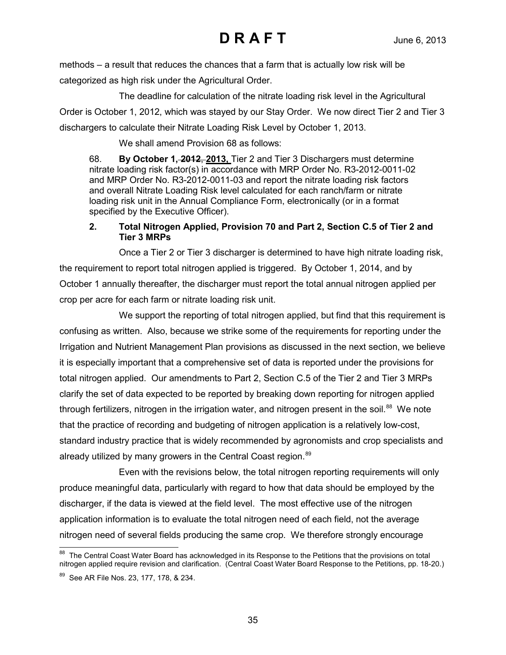methods – a result that reduces the chances that a farm that is actually low risk will be categorized as high risk under the Agricultural Order.

The deadline for calculation of the nitrate loading risk level in the Agricultural Order is October 1, 2012, which was stayed by our Stay Order. We now direct Tier 2 and Tier 3 dischargers to calculate their Nitrate Loading Risk Level by October 1, 2013.

We shall amend Provision 68 as follows:

68. **By October 1, 2012**, **2013,** Tier 2 and Tier 3 Dischargers must determine nitrate loading risk factor(s) in accordance with MRP Order No. R3-2012-0011-02 and MRP Order No. R3-2012-0011-03 and report the nitrate loading risk factors and overall Nitrate Loading Risk level calculated for each ranch/farm or nitrate loading risk unit in the Annual Compliance Form, electronically (or in a format specified by the Executive Officer).

### **2. Total Nitrogen Applied, Provision 70 and Part 2, Section C.5 of Tier 2 and Tier 3 MRPs**

Once a Tier 2 or Tier 3 discharger is determined to have high nitrate loading risk, the requirement to report total nitrogen applied is triggered. By October 1, 2014, and by October 1 annually thereafter, the discharger must report the total annual nitrogen applied per crop per acre for each farm or nitrate loading risk unit.

We support the reporting of total nitrogen applied, but find that this requirement is confusing as written. Also, because we strike some of the requirements for reporting under the Irrigation and Nutrient Management Plan provisions as discussed in the next section, we believe it is especially important that a comprehensive set of data is reported under the provisions for total nitrogen applied. Our amendments to Part 2, Section C.5 of the Tier 2 and Tier 3 MRPs clarify the set of data expected to be reported by breaking down reporting for nitrogen applied through fertilizers, nitrogen in the irrigation water, and nitrogen present in the soil.<sup>88</sup> We note that the practice of recording and budgeting of nitrogen application is a relatively low-cost, standard industry practice that is widely recommended by agronomists and crop specialists and already utilized by many growers in the Central Coast region.<sup>[89](#page-34-1)</sup>

Even with the revisions below, the total nitrogen reporting requirements will only produce meaningful data, particularly with regard to how that data should be employed by the discharger, if the data is viewed at the field level. The most effective use of the nitrogen application information is to evaluate the total nitrogen need of each field, not the average nitrogen need of several fields producing the same crop. We therefore strongly encourage

<span id="page-34-0"></span> $\overline{a}$  $88$  The Central Coast Water Board has acknowledged in its Response to the Petitions that the provisions on total nitrogen applied require revision and clarification. (Central Coast Water Board Response to the Petitions, pp. 18-20.)

<span id="page-34-1"></span><sup>&</sup>lt;sup>89</sup> See AR File Nos. 23, 177, 178, & 234.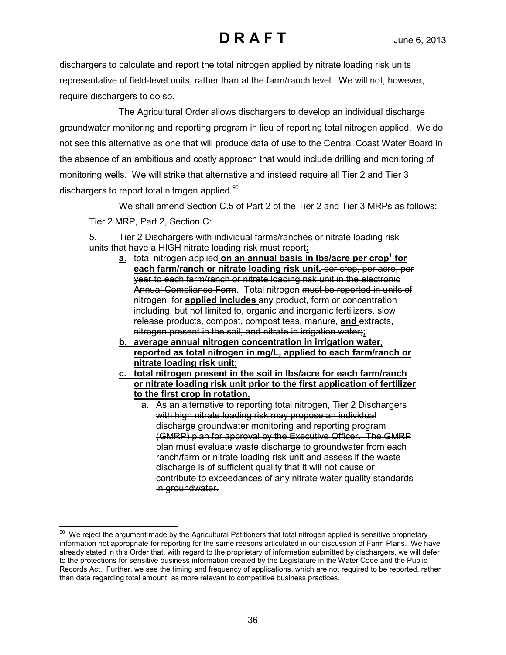dischargers to calculate and report the total nitrogen applied by nitrate loading risk units representative of field-level units, rather than at the farm/ranch level. We will not, however, require dischargers to do so.

The Agricultural Order allows dischargers to develop an individual discharge groundwater monitoring and reporting program in lieu of reporting total nitrogen applied. We do not see this alternative as one that will produce data of use to the Central Coast Water Board in the absence of an ambitious and costly approach that would include drilling and monitoring of monitoring wells. We will strike that alternative and instead require all Tier 2 and Tier 3 dischargers to report total nitrogen applied.<sup>[90](#page-35-0)</sup>

We shall amend Section C.5 of Part 2 of the Tier 2 and Tier 3 MRPs as follows:

Tier 2 MRP, Part 2, Section C:

5. Tier 2 Dischargers with individual farms/ranches or nitrate loading risk units that have a HIGH nitrate loading risk must report**:** 

- **a.** total nitrogen applied on an annual basis in Ibs/acre per crop<sup>1</sup> for each farm/ranch or nitrate loading risk unit. per crop, per acre, per year to each farm/ranch or nitrate loading risk unit in the electronic Annual Compliance Form. Total nitrogen must be reported in units of nitrogen, for **applied includes** any product, form or concentration including, but not limited to, organic and inorganic fertilizers, slow release products, compost, compost teas, manure, **and** extracts, nitrogen present in the soil, and nitrate in irrigation water;**;**
- **b. average annual nitrogen concentration in irrigation water, reported as total nitrogen in mg/L, applied to each farm/ranch or nitrate loading risk unit;**
- **c. total nitrogen present in the soil in lbs/acre for each farm/ranch or nitrate loading risk unit prior to the first application of fertilizer to the first crop in rotation.**
	- a. As an alternative to reporting total nitrogen, Tier 2 Dischargers with high nitrate loading risk may propose an individual discharge groundwater monitoring and reporting program (GMRP) plan for approval by the Executive Officer. The GMRP plan must evaluate waste discharge to groundwater from each ranch/farm or nitrate loading risk unit and assess if the waste discharge is of sufficient quality that it will not cause or contribute to exceedances of any nitrate water quality standards in groundwater.

<span id="page-35-0"></span> $\overline{a}$  $90$  We reject the argument made by the Agricultural Petitioners that total nitrogen applied is sensitive proprietary information not appropriate for reporting for the same reasons articulated in our discussion of Farm Plans. We have already stated in this Order that, with regard to the proprietary of information submitted by dischargers, we will defer to the protections for sensitive business information created by the Legislature in the Water Code and the Public Records Act. Further, we see the timing and frequency of applications, which are not required to be reported, rather than data regarding total amount, as more relevant to competitive business practices.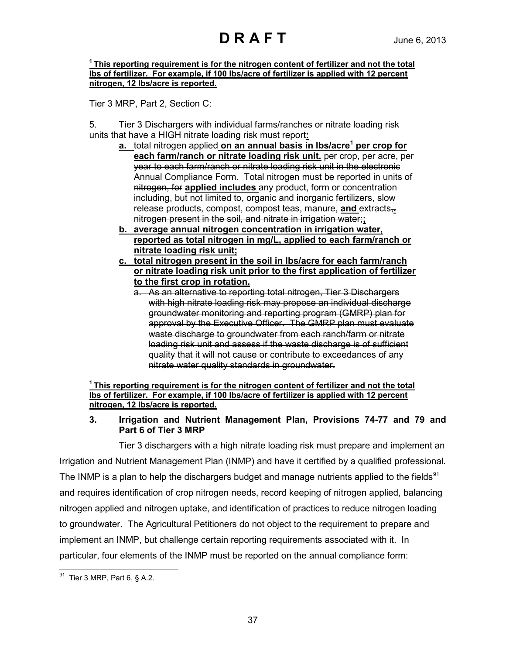**1 This reporting requirement is for the nitrogen content of fertilizer and not the total lbs of fertilizer. For example, if 100 lbs/acre of fertilizer is applied with 12 percent nitrogen, 12 lbs/acre is reported.**

Tier 3 MRP, Part 2, Section C:

5. Tier 3 Dischargers with individual farms/ranches or nitrate loading risk units that have a HIGH nitrate loading risk must report**:**

- **a.** total nitrogen applied on an annual basis in Ibs/acre<sup>1</sup> per crop for each farm/ranch or nitrate loading risk unit. per crop, per acre, per year to each farm/ranch or nitrate loading risk unit in the electronic Annual Compliance Form. Total nitrogen must be reported in units of nitrogen, for **applied includes** any product, form or concentration including, but not limited to, organic and inorganic fertilizers, slow release products, compost, compost teas, manure, **and** extracts,**.**  nitrogen present in the soil, and nitrate in irrigation water;**;**
- **b. average annual nitrogen concentration in irrigation water, reported as total nitrogen in mg/L, applied to each farm/ranch or nitrate loading risk unit;**
- **c. total nitrogen present in the soil in lbs/acre for each farm/ranch or nitrate loading risk unit prior to the first application of fertilizer to the first crop in rotation.**
	- a. As an alternative to reporting total nitrogen, Tier 3 Dischargers with high nitrate loading risk may propose an individual discharge groundwater monitoring and reporting program (GMRP) plan for approval by the Executive Officer. The GMRP plan must evaluate waste discharge to groundwater from each ranch/farm or nitrate loading risk unit and assess if the waste discharge is of sufficient quality that it will not cause or contribute to exceedances of any nitrate water quality standards in groundwater.

**1 This reporting requirement is for the nitrogen content of fertilizer and not the total lbs of fertilizer. For example, if 100 lbs/acre of fertilizer is applied with 12 percent nitrogen, 12 lbs/acre is reported.**

### **3. Irrigation and Nutrient Management Plan, Provisions 74-77 and 79 and Part 6 of Tier 3 MRP**

Tier 3 dischargers with a high nitrate loading risk must prepare and implement an Irrigation and Nutrient Management Plan (INMP) and have it certified by a qualified professional. The INMP is a plan to help the dischargers budget and manage nutrients applied to the fields<sup>[91](#page-36-0)</sup> and requires identification of crop nitrogen needs, record keeping of nitrogen applied, balancing nitrogen applied and nitrogen uptake, and identification of practices to reduce nitrogen loading to groundwater. The Agricultural Petitioners do not object to the requirement to prepare and implement an INMP, but challenge certain reporting requirements associated with it. In particular, four elements of the INMP must be reported on the annual compliance form:

<span id="page-36-0"></span> $\overline{a}$  $91$  Tier 3 MRP, Part 6, § A.2.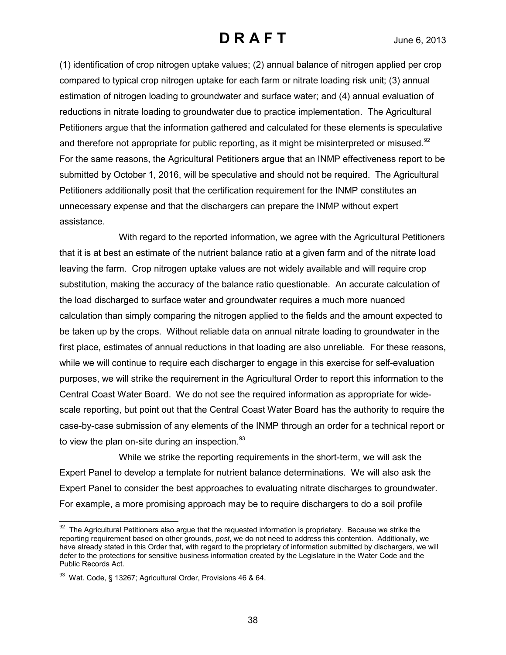(1) identification of crop nitrogen uptake values; (2) annual balance of nitrogen applied per crop compared to typical crop nitrogen uptake for each farm or nitrate loading risk unit; (3) annual estimation of nitrogen loading to groundwater and surface water; and (4) annual evaluation of reductions in nitrate loading to groundwater due to practice implementation. The Agricultural Petitioners argue that the information gathered and calculated for these elements is speculative and therefore not appropriate for public reporting, as it might be misinterpreted or misused. $92$ For the same reasons, the Agricultural Petitioners argue that an INMP effectiveness report to be submitted by October 1, 2016, will be speculative and should not be required. The Agricultural Petitioners additionally posit that the certification requirement for the INMP constitutes an unnecessary expense and that the dischargers can prepare the INMP without expert assistance.

With regard to the reported information, we agree with the Agricultural Petitioners that it is at best an estimate of the nutrient balance ratio at a given farm and of the nitrate load leaving the farm. Crop nitrogen uptake values are not widely available and will require crop substitution, making the accuracy of the balance ratio questionable. An accurate calculation of the load discharged to surface water and groundwater requires a much more nuanced calculation than simply comparing the nitrogen applied to the fields and the amount expected to be taken up by the crops. Without reliable data on annual nitrate loading to groundwater in the first place, estimates of annual reductions in that loading are also unreliable. For these reasons, while we will continue to require each discharger to engage in this exercise for self-evaluation purposes, we will strike the requirement in the Agricultural Order to report this information to the Central Coast Water Board. We do not see the required information as appropriate for widescale reporting, but point out that the Central Coast Water Board has the authority to require the case-by-case submission of any elements of the INMP through an order for a technical report or to view the plan on-site during an inspection. $93$ 

While we strike the reporting requirements in the short-term, we will ask the Expert Panel to develop a template for nutrient balance determinations. We will also ask the Expert Panel to consider the best approaches to evaluating nitrate discharges to groundwater. For example, a more promising approach may be to require dischargers to do a soil profile

<span id="page-37-0"></span> $\overline{a}$  $92$  The Agricultural Petitioners also argue that the requested information is proprietary. Because we strike the reporting requirement based on other grounds, *post*, we do not need to address this contention. Additionally, we have already stated in this Order that, with regard to the proprietary of information submitted by dischargers, we will defer to the protections for sensitive business information created by the Legislature in the Water Code and the Public Records Act.

<span id="page-37-1"></span><sup>93</sup> Wat. Code, § 13267; Agricultural Order, Provisions 46 & 64.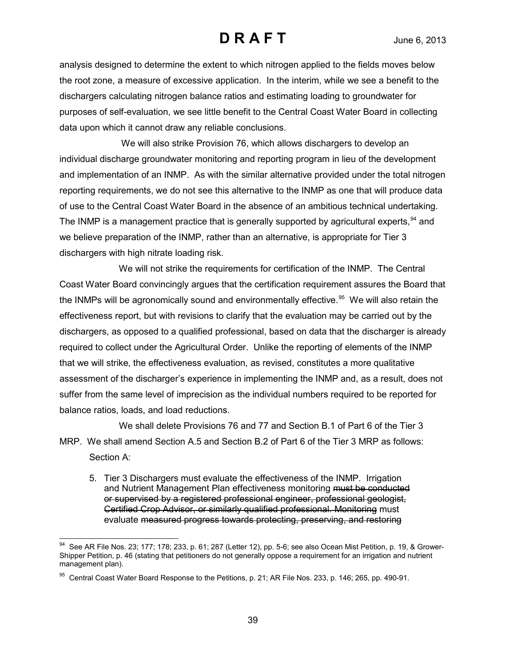analysis designed to determine the extent to which nitrogen applied to the fields moves below the root zone, a measure of excessive application. In the interim, while we see a benefit to the dischargers calculating nitrogen balance ratios and estimating loading to groundwater for purposes of self-evaluation, we see little benefit to the Central Coast Water Board in collecting data upon which it cannot draw any reliable conclusions.

We will also strike Provision 76, which allows dischargers to develop an individual discharge groundwater monitoring and reporting program in lieu of the development and implementation of an INMP. As with the similar alternative provided under the total nitrogen reporting requirements, we do not see this alternative to the INMP as one that will produce data of use to the Central Coast Water Board in the absence of an ambitious technical undertaking. The INMP is a management practice that is generally supported by agricultural experts,<sup>[94](#page-38-0)</sup> and we believe preparation of the INMP, rather than an alternative, is appropriate for Tier 3 dischargers with high nitrate loading risk.

We will not strike the requirements for certification of the INMP. The Central Coast Water Board convincingly argues that the certification requirement assures the Board that the INMPs will be agronomically sound and environmentally effective.<sup>[95](#page-38-1)</sup> We will also retain the effectiveness report, but with revisions to clarify that the evaluation may be carried out by the dischargers, as opposed to a qualified professional, based on data that the discharger is already required to collect under the Agricultural Order. Unlike the reporting of elements of the INMP that we will strike, the effectiveness evaluation, as revised, constitutes a more qualitative assessment of the discharger's experience in implementing the INMP and, as a result, does not suffer from the same level of imprecision as the individual numbers required to be reported for balance ratios, loads, and load reductions.

We shall delete Provisions 76 and 77 and Section B.1 of Part 6 of the Tier 3 MRP. We shall amend Section A.5 and Section B.2 of Part 6 of the Tier 3 MRP as follows: Section A:

5. Tier 3 Dischargers must evaluate the effectiveness of the INMP. Irrigation and Nutrient Management Plan effectiveness monitoring must be conducted or supervised by a registered professional engineer, professional geologist, Certified Crop Advisor, or similarly qualified professional. Monitoring must evaluate measured progress towards protecting, preserving, and restoring

<span id="page-38-0"></span> $\overline{a}$  $^{94}$  See AR File Nos. 23; 177; 178; 233, p. 61; 287 (Letter 12), pp. 5-6; see also Ocean Mist Petition, p. 19, & Grower-Shipper Petition, p. 46 (stating that petitioners do not generally oppose a requirement for an irrigation and nutrient management plan).

<span id="page-38-1"></span> $95$  Central Coast Water Board Response to the Petitions, p. 21; AR File Nos. 233, p. 146; 265, pp. 490-91.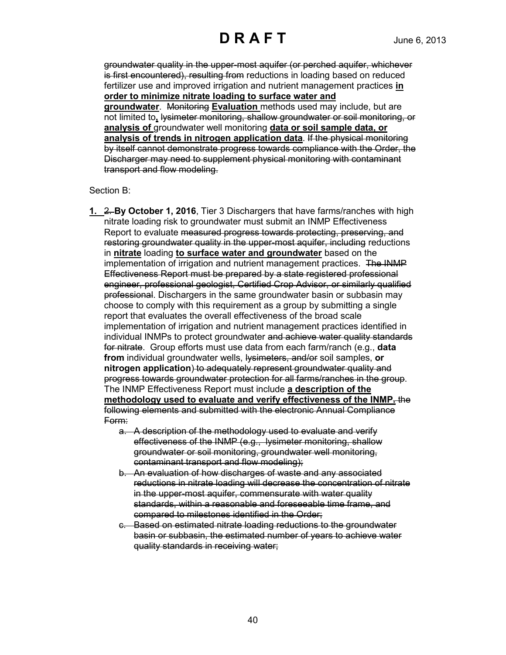groundwater quality in the upper-most aquifer (or perched aquifer, whichever is first encountered), resulting from reductions in loading based on reduced fertilizer use and improved irrigation and nutrient management practices **in order to minimize nitrate loading to surface water and groundwater**. Monitoring **Evaluation** methods used may include, but are not limited to**,** lysimeter monitoring, shallow groundwater or soil monitoring, or **analysis of** groundwater well monitoring **data or soil sample data, or analysis of trends in nitrogen application data**. If the physical monitoring by itself cannot demonstrate progress towards compliance with the Order, the Discharger may need to supplement physical monitoring with contaminant transport and flow modeling.

#### Section B:

- **1.** 2. **By October 1, 2016**, Tier 3 Dischargers that have farms/ranches with high nitrate loading risk to groundwater must submit an INMP Effectiveness Report to evaluate measured progress towards protecting, preserving, and restoring groundwater quality in the upper-most aquifer, including reductions in **nitrate** loading **to surface water and groundwater** based on the implementation of irrigation and nutrient management practices. The INMP Effectiveness Report must be prepared by a state registered professional engineer, professional geologist, Certified Crop Advisor, or similarly qualified professional. Dischargers in the same groundwater basin or subbasin may choose to comply with this requirement as a group by submitting a single report that evaluates the overall effectiveness of the broad scale implementation of irrigation and nutrient management practices identified in individual INMPs to protect groundwater and achieve water quality standards for nitrate. Group efforts must use data from each farm/ranch (e.g., **data from** individual groundwater wells, lysimeters, and/or soil samples, **or nitrogen application**) to adequately represent groundwater quality and progress towards groundwater protection for all farms/ranches in the group. The INMP Effectiveness Report must include **a description of the methodology used to evaluate and verify effectiveness of the INMP.** the following elements and submitted with the electronic Annual Compliance Form:
	- a. A description of the methodology used to evaluate and verify effectiveness of the INMP (e.g., lysimeter monitoring, shallow groundwater or soil monitoring, groundwater well monitoring, contaminant transport and flow modeling);
	- b. An evaluation of how discharges of waste and any associated reductions in nitrate loading will decrease the concentration of nitrate in the upper-most aquifer, commensurate with water quality standards, within a reasonable and foreseeable time frame, and compared to milestones identified in the Order;
	- c. Based on estimated nitrate loading reductions to the groundwater basin or subbasin, the estimated number of years to achieve water quality standards in receiving water;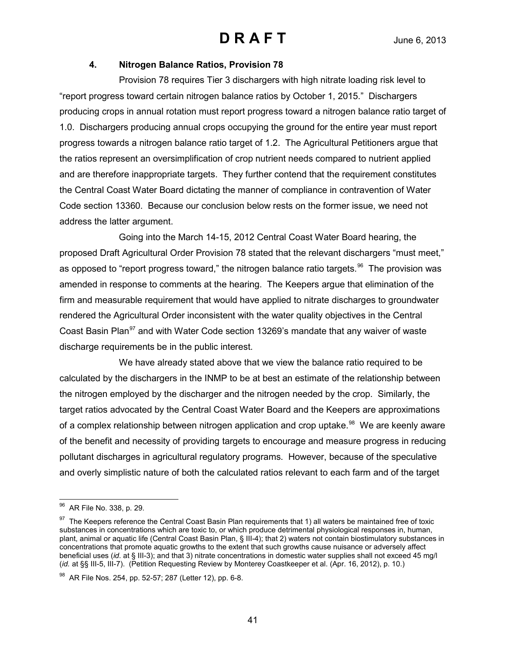### **4. Nitrogen Balance Ratios, Provision 78**

Provision 78 requires Tier 3 dischargers with high nitrate loading risk level to "report progress toward certain nitrogen balance ratios by October 1, 2015." Dischargers producing crops in annual rotation must report progress toward a nitrogen balance ratio target of 1.0. Dischargers producing annual crops occupying the ground for the entire year must report progress towards a nitrogen balance ratio target of 1.2. The Agricultural Petitioners argue that the ratios represent an oversimplification of crop nutrient needs compared to nutrient applied and are therefore inappropriate targets. They further contend that the requirement constitutes the Central Coast Water Board dictating the manner of compliance in contravention of Water Code section 13360. Because our conclusion below rests on the former issue, we need not address the latter argument.

Going into the March 14-15, 2012 Central Coast Water Board hearing, the proposed Draft Agricultural Order Provision 78 stated that the relevant dischargers "must meet," as opposed to "report progress toward," the nitrogen balance ratio targets. <sup>96</sup> The provision was amended in response to comments at the hearing. The Keepers argue that elimination of the firm and measurable requirement that would have applied to nitrate discharges to groundwater rendered the Agricultural Order inconsistent with the water quality objectives in the Central Coast Basin Plan<sup>[97](#page-40-1)</sup> and with Water Code section 13269's mandate that any waiver of waste discharge requirements be in the public interest.

We have already stated above that we view the balance ratio required to be calculated by the dischargers in the INMP to be at best an estimate of the relationship between the nitrogen employed by the discharger and the nitrogen needed by the crop. Similarly, the target ratios advocated by the Central Coast Water Board and the Keepers are approximations of a complex relationship between nitrogen application and crop uptake.<sup>[98](#page-40-2)</sup> We are keenly aware of the benefit and necessity of providing targets to encourage and measure progress in reducing pollutant discharges in agricultural regulatory programs. However, because of the speculative and overly simplistic nature of both the calculated ratios relevant to each farm and of the target

<span id="page-40-0"></span> $\overline{a}$ <sup>96</sup> AR File No. 338, p. 29.

<span id="page-40-1"></span><sup>&</sup>lt;sup>97</sup> The Keepers reference the Central Coast Basin Plan requirements that 1) all waters be maintained free of toxic substances in concentrations which are toxic to, or which produce detrimental physiological responses in, human, plant, animal or aquatic life (Central Coast Basin Plan, § III-4); that 2) waters not contain biostimulatory substances in concentrations that promote aquatic growths to the extent that such growths cause nuisance or adversely affect beneficial uses (*id*. at § III-3); and that 3) nitrate concentrations in domestic water supplies shall not exceed 45 mg/l (*id.* at §§ III-5, III-7). (Petition Requesting Review by Monterey Coastkeeper et al. (Apr. 16, 2012), p. 10.)

<span id="page-40-2"></span><sup>98</sup> AR File Nos. 254, pp. 52-57; 287 (Letter 12), pp. 6-8.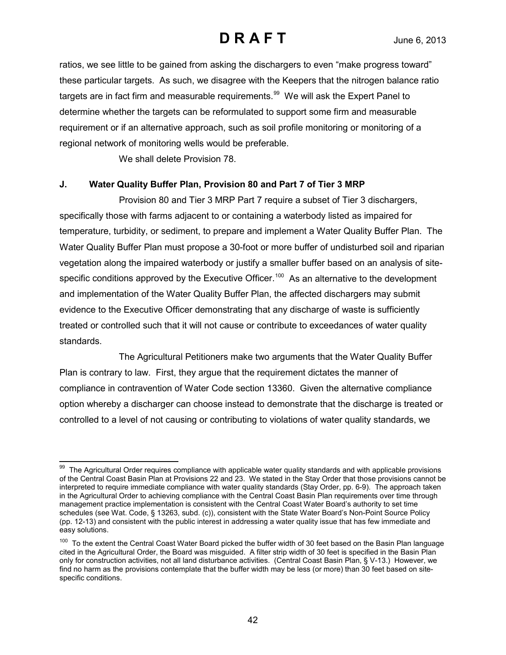ratios, we see little to be gained from asking the dischargers to even "make progress toward" these particular targets. As such, we disagree with the Keepers that the nitrogen balance ratio targets are in fact firm and measurable requirements. $99$  We will ask the Expert Panel to determine whether the targets can be reformulated to support some firm and measurable requirement or if an alternative approach, such as soil profile monitoring or monitoring of a regional network of monitoring wells would be preferable.

We shall delete Provision 78.

### **J. Water Quality Buffer Plan, Provision 80 and Part 7 of Tier 3 MRP**

Provision 80 and Tier 3 MRP Part 7 require a subset of Tier 3 dischargers, specifically those with farms adjacent to or containing a waterbody listed as impaired for temperature, turbidity, or sediment, to prepare and implement a Water Quality Buffer Plan. The Water Quality Buffer Plan must propose a 30-foot or more buffer of undisturbed soil and riparian vegetation along the impaired waterbody or justify a smaller buffer based on an analysis of sitespecific conditions approved by the Executive Officer.<sup>100</sup> As an alternative to the development and implementation of the Water Quality Buffer Plan, the affected dischargers may submit evidence to the Executive Officer demonstrating that any discharge of waste is sufficiently treated or controlled such that it will not cause or contribute to exceedances of water quality standards.

The Agricultural Petitioners make two arguments that the Water Quality Buffer Plan is contrary to law. First, they argue that the requirement dictates the manner of compliance in contravention of Water Code section 13360. Given the alternative compliance option whereby a discharger can choose instead to demonstrate that the discharge is treated or controlled to a level of not causing or contributing to violations of water quality standards, we

<span id="page-41-0"></span> $\overline{a}$ <sup>99</sup> The Agricultural Order requires compliance with applicable water quality standards and with applicable provisions of the Central Coast Basin Plan at Provisions 22 and 23. We stated in the Stay Order that those provisions cannot be interpreted to require immediate compliance with water quality standards (Stay Order, pp. 6-9). The approach taken in the Agricultural Order to achieving compliance with the Central Coast Basin Plan requirements over time through management practice implementation is consistent with the Central Coast Water Board's authority to set time schedules (see Wat. Code, § 13263, subd. (c)), consistent with the State Water Board's Non-Point Source Policy (pp. 12-13) and consistent with the public interest in addressing a water quality issue that has few immediate and easy solutions.

<span id="page-41-1"></span><sup>&</sup>lt;sup>100</sup> To the extent the Central Coast Water Board picked the buffer width of 30 feet based on the Basin Plan language cited in the Agricultural Order, the Board was misguided. A filter strip width of 30 feet is specified in the Basin Plan only for construction activities, not all land disturbance activities. (Central Coast Basin Plan, § V-13.) However, we find no harm as the provisions contemplate that the buffer width may be less (or more) than 30 feet based on sitespecific conditions.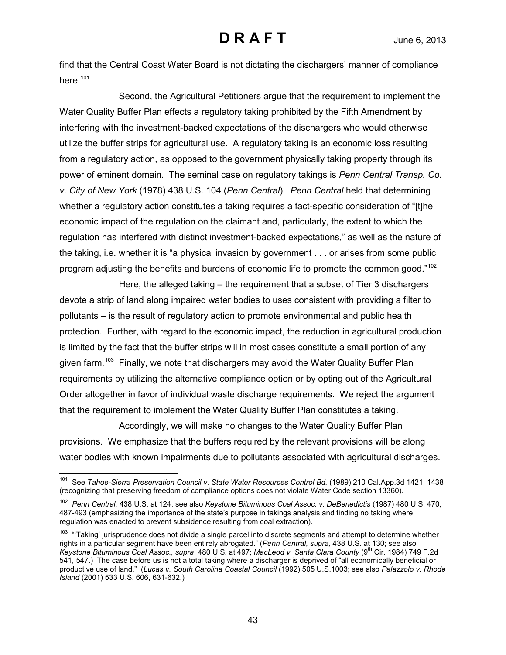find that the Central Coast Water Board is not dictating the dischargers' manner of compliance here.<sup>[101](#page-42-0)</sup>

Second, the Agricultural Petitioners argue that the requirement to implement the Water Quality Buffer Plan effects a regulatory taking prohibited by the Fifth Amendment by interfering with the investment-backed expectations of the dischargers who would otherwise utilize the buffer strips for agricultural use. A regulatory taking is an economic loss resulting from a regulatory action, as opposed to the government physically taking property through its power of eminent domain. The seminal case on regulatory takings is *Penn Central Transp. Co. v. City of New York* (1978) 438 U.S. 104 (*Penn Central*). *Penn Central* held that determining whether a regulatory action constitutes a taking requires a fact-specific consideration of "[t]he economic impact of the regulation on the claimant and, particularly, the extent to which the regulation has interfered with distinct investment-backed expectations," as well as the nature of the taking, i.e. whether it is "a physical invasion by government . . . or arises from some public program adjusting the benefits and burdens of economic life to promote the common good."<sup>[102](#page-42-1)</sup>

Here, the alleged taking – the requirement that a subset of Tier 3 dischargers devote a strip of land along impaired water bodies to uses consistent with providing a filter to pollutants – is the result of regulatory action to promote environmental and public health protection. Further, with regard to the economic impact, the reduction in agricultural production is limited by the fact that the buffer strips will in most cases constitute a small portion of any given farm.<sup>103</sup> Finally, we note that dischargers may avoid the Water Quality Buffer Plan requirements by utilizing the alternative compliance option or by opting out of the Agricultural Order altogether in favor of individual waste discharge requirements. We reject the argument that the requirement to implement the Water Quality Buffer Plan constitutes a taking.

Accordingly, we will make no changes to the Water Quality Buffer Plan provisions. We emphasize that the buffers required by the relevant provisions will be along water bodies with known impairments due to pollutants associated with agricultural discharges.

<span id="page-42-0"></span> $\overline{a}$ 101 See *Tahoe-Sierra Preservation Council v. State Water Resources Control Bd.* (1989) 210 Cal.App.3d 1421, 1438 (recognizing that preserving freedom of compliance options does not violate Water Code section 13360).

<span id="page-42-1"></span><sup>102</sup> *Penn Central,* 438 U.S. at 124; see also *Keystone Bituminous Coal Assoc. v. DeBenedictis* (1987) 480 U.S. 470, 487-493 (emphasizing the importance of the state's purpose in takings analysis and finding no taking where regulation was enacted to prevent subsidence resulting from coal extraction).

<span id="page-42-2"></span><sup>&</sup>lt;sup>103</sup> "Taking' jurisprudence does not divide a single parcel into discrete segments and attempt to determine whether rights in a particular segment have been entirely abrogated." (*Penn Central*, *supra,* 438 U.S. at 130; see also *Keystone Bituminous Coal Assoc., supra*, 480 U.S. at 497; *MacLeod v. Santa Clara County* (9th Cir. 1984) 749 F.2d 541, 547.) The case before us is not a total taking where a discharger is deprived of "all economically beneficial or productive use of land." (*Lucas v. South Carolina Coastal Council* (1992) 505 U.S.1003; see also *Palazzolo v. Rhode Island* (2001) 533 U.S. 606, 631-632.)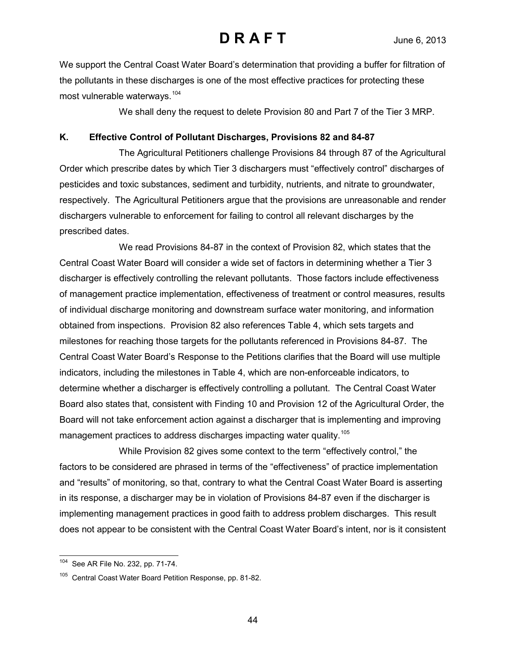We support the Central Coast Water Board's determination that providing a buffer for filtration of the pollutants in these discharges is one of the most effective practices for protecting these most vulnerable waterways.[104](#page-43-0)

We shall deny the request to delete Provision 80 and Part 7 of the Tier 3 MRP.

#### **K. Effective Control of Pollutant Discharges, Provisions 82 and 84-87**

The Agricultural Petitioners challenge Provisions 84 through 87 of the Agricultural Order which prescribe dates by which Tier 3 dischargers must "effectively control" discharges of pesticides and toxic substances, sediment and turbidity, nutrients, and nitrate to groundwater, respectively. The Agricultural Petitioners argue that the provisions are unreasonable and render dischargers vulnerable to enforcement for failing to control all relevant discharges by the prescribed dates.

We read Provisions 84-87 in the context of Provision 82, which states that the Central Coast Water Board will consider a wide set of factors in determining whether a Tier 3 discharger is effectively controlling the relevant pollutants. Those factors include effectiveness of management practice implementation, effectiveness of treatment or control measures, results of individual discharge monitoring and downstream surface water monitoring, and information obtained from inspections. Provision 82 also references Table 4, which sets targets and milestones for reaching those targets for the pollutants referenced in Provisions 84-87. The Central Coast Water Board's Response to the Petitions clarifies that the Board will use multiple indicators, including the milestones in Table 4, which are non-enforceable indicators, to determine whether a discharger is effectively controlling a pollutant. The Central Coast Water Board also states that, consistent with Finding 10 and Provision 12 of the Agricultural Order, the Board will not take enforcement action against a discharger that is implementing and improving management practices to address discharges impacting water quality.<sup>[105](#page-43-1)</sup>

While Provision 82 gives some context to the term "effectively control," the factors to be considered are phrased in terms of the "effectiveness" of practice implementation and "results" of monitoring, so that, contrary to what the Central Coast Water Board is asserting in its response, a discharger may be in violation of Provisions 84-87 even if the discharger is implementing management practices in good faith to address problem discharges. This result does not appear to be consistent with the Central Coast Water Board's intent, nor is it consistent

<span id="page-43-0"></span> $\overline{a}$ <sup>104</sup> See AR File No. 232, pp. 71-74.

<span id="page-43-1"></span><sup>&</sup>lt;sup>105</sup> Central Coast Water Board Petition Response, pp. 81-82.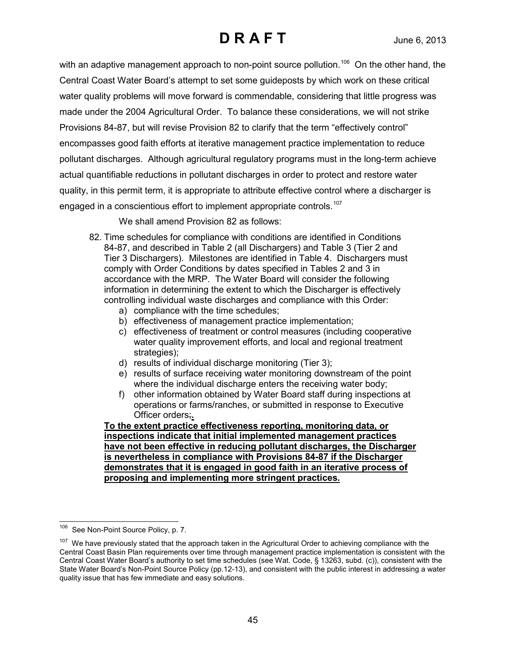with an adaptive management approach to non-point source pollution.<sup>[106](#page-44-0)</sup> On the other hand, the Central Coast Water Board's attempt to set some guideposts by which work on these critical water quality problems will move forward is commendable, considering that little progress was made under the 2004 Agricultural Order. To balance these considerations, we will not strike Provisions 84-87, but will revise Provision 82 to clarify that the term "effectively control" encompasses good faith efforts at iterative management practice implementation to reduce pollutant discharges. Although agricultural regulatory programs must in the long-term achieve actual quantifiable reductions in pollutant discharges in order to protect and restore water quality, in this permit term, it is appropriate to attribute effective control where a discharger is engaged in a conscientious effort to implement appropriate controls.<sup>[107](#page-44-1)</sup>

We shall amend Provision 82 as follows:

- 82. Time schedules for compliance with conditions are identified in Conditions 84-87, and described in Table 2 (all Dischargers) and Table 3 (Tier 2 and Tier 3 Dischargers). Milestones are identified in Table 4. Dischargers must comply with Order Conditions by dates specified in Tables 2 and 3 in accordance with the MRP. The Water Board will consider the following information in determining the extent to which the Discharger is effectively controlling individual waste discharges and compliance with this Order:
	- a) compliance with the time schedules;
	- b) effectiveness of management practice implementation;
	- c) effectiveness of treatment or control measures (including cooperative water quality improvement efforts, and local and regional treatment strategies);
	- d) results of individual discharge monitoring (Tier 3);
	- e) results of surface receiving water monitoring downstream of the point where the individual discharge enters the receiving water body:
	- f) other information obtained by Water Board staff during inspections at operations or farms/ranches, or submitted in response to Executive Officer orders;**.**

**To the extent practice effectiveness reporting, monitoring data, or inspections indicate that initial implemented management practices have not been effective in reducing pollutant discharges, the Discharger is nevertheless in compliance with Provisions 84-87 if the Discharger demonstrates that it is engaged in good faith in an iterative process of proposing and implementing more stringent practices.**

<span id="page-44-0"></span><sup>106</sup> See Non-Point Source Policy, p. 7.

<span id="page-44-1"></span> $107$  We have previously stated that the approach taken in the Agricultural Order to achieving compliance with the Central Coast Basin Plan requirements over time through management practice implementation is consistent with the Central Coast Water Board's authority to set time schedules (see Wat. Code, § 13263, subd. (c)), consistent with the State Water Board's Non-Point Source Policy (pp.12-13), and consistent with the public interest in addressing a water quality issue that has few immediate and easy solutions.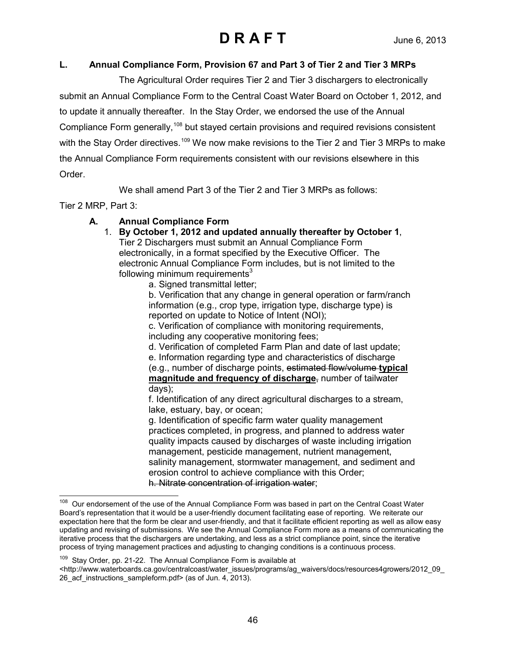### **L. Annual Compliance Form, Provision 67 and Part 3 of Tier 2 and Tier 3 MRPs**

The Agricultural Order requires Tier 2 and Tier 3 dischargers to electronically submit an Annual Compliance Form to the Central Coast Water Board on October 1, 2012, and to update it annually thereafter. In the Stay Order, we endorsed the use of the Annual Compliance Form generally,<sup>[108](#page-45-0)</sup> but stayed certain provisions and required revisions consistent with the Stay Order directives.<sup>[109](#page-45-1)</sup> We now make revisions to the Tier 2 and Tier 3 MRPs to make the Annual Compliance Form requirements consistent with our revisions elsewhere in this Order.

We shall amend Part 3 of the Tier 2 and Tier 3 MRPs as follows:

Tier 2 MRP, Part 3:

 $\overline{a}$ 

## **A. Annual Compliance Form**

- 1. **By October 1, 2012 and updated annually thereafter by October 1**, Tier 2 Dischargers must submit an Annual Compliance Form electronically, in a format specified by the Executive Officer. The electronic Annual Compliance Form includes, but is not limited to the following minimum requirements $3$ 
	- a. Signed transmittal letter;

b. Verification that any change in general operation or farm/ranch information (e.g., crop type, irrigation type, discharge type) is reported on update to Notice of Intent (NOI);

c. Verification of compliance with monitoring requirements, including any cooperative monitoring fees;

d. Verification of completed Farm Plan and date of last update;

e. Information regarding type and characteristics of discharge (e.g., number of discharge points, estimated flow/volume **typical magnitude and frequency of discharge**, number of tailwater days);

f. Identification of any direct agricultural discharges to a stream, lake, estuary, bay, or ocean;

g. Identification of specific farm water quality management practices completed, in progress, and planned to address water quality impacts caused by discharges of waste including irrigation management, pesticide management, nutrient management, salinity management, stormwater management, and sediment and erosion control to achieve compliance with this Order; h. Nitrate concentration of irrigation water;

<span id="page-45-1"></span>109 Stay Order, pp. 21-22. The Annual Compliance Form is available at

<span id="page-45-0"></span>Our endorsement of the use of the Annual Compliance Form was based in part on the Central Coast Water Board's representation that it would be a user-friendly document facilitating ease of reporting. We reiterate our expectation here that the form be clear and user-friendly, and that it facilitate efficient reporting as well as allow easy updating and revising of submissions. We see the Annual Compliance Form more as a means of communicating the iterative process that the dischargers are undertaking, and less as a strict compliance point, since the iterative process of trying management practices and adjusting to changing conditions is a continuous process.

<sup>&</sup>lt;http://www.waterboards.ca.gov/centralcoast/water\_issues/programs/ag\_waivers/docs/resources4growers/2012\_09\_ 26\_acf\_instructions\_sampleform.pdf> (as of Jun. 4, 2013).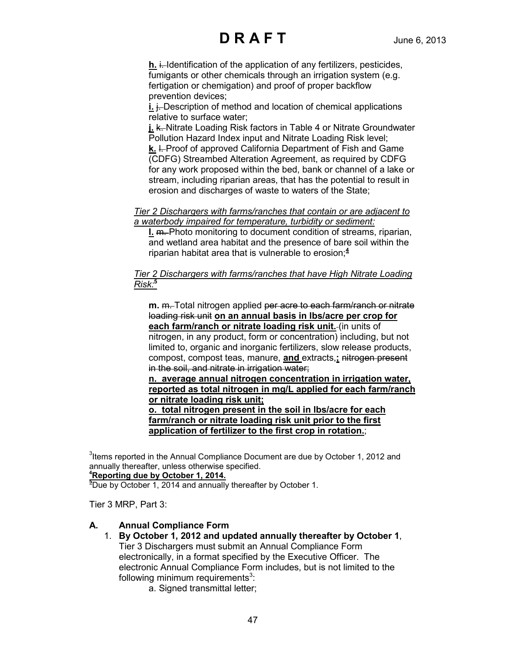**h.** i. Identification of the application of any fertilizers, pesticides, fumigants or other chemicals through an irrigation system (e.g. fertigation or chemigation) and proof of proper backflow prevention devices;

**i.** i. Description of method and location of chemical applications relative to surface water;

**j. k.** Nitrate Loading Risk factors in Table 4 or Nitrate Groundwater Pollution Hazard Index input and Nitrate Loading Risk level; **k.** I. Proof of approved California Department of Fish and Game (CDFG) Streambed Alteration Agreement, as required by CDFG for any work proposed within the bed, bank or channel of a lake or stream, including riparian areas, that has the potential to result in erosion and discharges of waste to waters of the State;

#### *Tier 2 Dischargers with farms/ranches that contain or are adjacent to a waterbody impaired for temperature, turbidity or sediment:*

**l.** m. Photo monitoring to document condition of streams, riparian, and wetland area habitat and the presence of bare soil within the riparian habitat area that is vulnerable to erosion;**<sup>4</sup>**

### *Tier 2 Dischargers with farms/ranches that have High Nitrate Loading Risk:***<sup>5</sup>**

**m.** m. Total nitrogen applied per acre to each farm/ranch or nitrate loading risk unit **on an annual basis in lbs/acre per crop for each farm/ranch or nitrate loading risk unit.** (in units of

nitrogen, in any product, form or concentration) including, but not limited to, organic and inorganic fertilizers, slow release products, compost, compost teas, manure, **and** extracts,**;** nitrogen present in the soil, and nitrate in irrigation water;

**n. average annual nitrogen concentration in irrigation water, reported as total nitrogen in mg/L applied for each farm/ranch or nitrate loading risk unit;**

**o. total nitrogen present in the soil in lbs/acre for each farm/ranch or nitrate loading risk unit prior to the first application of fertilizer to the first crop in rotation.**;

 $3$ Items reported in the Annual Compliance Document are due by October 1, 2012 and annually thereafter, unless otherwise specified.

## **4 Reporting due by October 1, 2014.**

**5** Due by October 1, 2014 and annually thereafter by October 1.

Tier 3 MRP, Part 3:

### **A. Annual Compliance Form**

- 1. **By October 1, 2012 and updated annually thereafter by October 1**, Tier 3 Dischargers must submit an Annual Compliance Form electronically, in a format specified by the Executive Officer. The electronic Annual Compliance Form includes, but is not limited to the following minimum requirements $3$ :
	- a. Signed transmittal letter;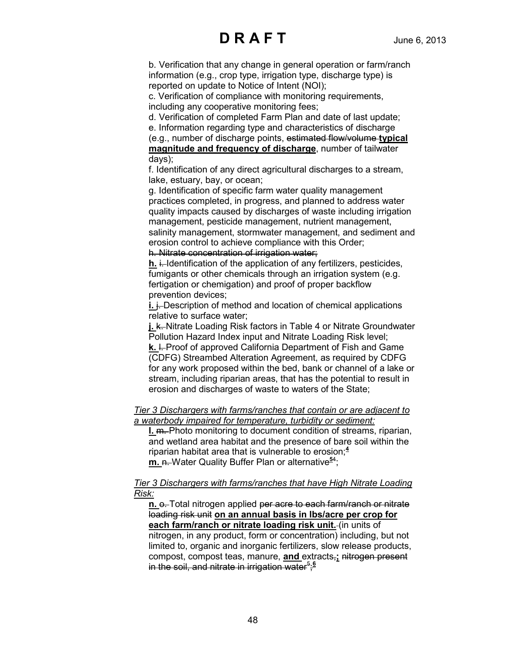b. Verification that any change in general operation or farm/ranch information (e.g., crop type, irrigation type, discharge type) is reported on update to Notice of Intent (NOI);

c. Verification of compliance with monitoring requirements, including any cooperative monitoring fees;

d. Verification of completed Farm Plan and date of last update;

e. Information regarding type and characteristics of discharge (e.g., number of discharge points, estimated flow/volume **typical magnitude and frequency of discharge**, number of tailwater days);

f. Identification of any direct agricultural discharges to a stream, lake, estuary, bay, or ocean;

g. Identification of specific farm water quality management practices completed, in progress, and planned to address water quality impacts caused by discharges of waste including irrigation management, pesticide management, nutrient management, salinity management, stormwater management, and sediment and erosion control to achieve compliance with this Order;

h. Nitrate concentration of irrigation water;

**h.** i. Identification of the application of any fertilizers, pesticides, fumigants or other chemicals through an irrigation system (e.g. fertigation or chemigation) and proof of proper backflow prevention devices;

**i.**  $\div$  Description of method and location of chemical applications relative to surface water;

**j. k.** Nitrate Loading Risk factors in Table 4 or Nitrate Groundwater Pollution Hazard Index input and Nitrate Loading Risk level; **k.** I. Proof of approved California Department of Fish and Game (CDFG) Streambed Alteration Agreement, as required by CDFG for any work proposed within the bed, bank or channel of a lake or stream, including riparian areas, that has the potential to result in

erosion and discharges of waste to waters of the State;

*Tier 3 Dischargers with farms/ranches that contain or are adjacent to a waterbody impaired for temperature, turbidity or sediment:*

**l.** m. Photo monitoring to document condition of streams, riparian, and wetland area habitat and the presence of bare soil within the riparian habitat area that is vulnerable to erosion;**<sup>4</sup> m.** n. Water Quality Buffer Plan or alternative**<sup>5</sup>**<sup>4</sup> ;

*Tier 3 Dischargers with farms/ranches that have High Nitrate Loading Risk:*

**n.**  $\theta$ . Total nitrogen applied per acre to each farm/ranch or nitrate loading risk unit **on an annual basis in lbs/acre per crop for each farm/ranch or nitrate loading risk unit.** (in units of nitrogen, in any product, form or concentration) including, but not limited to, organic and inorganic fertilizers, slow release products, compost, compost teas, manure, **and** extracts,**;** nitrogen present in the soil, and nitrate in irrigation water<sup>5</sup>;<sup>6</sup>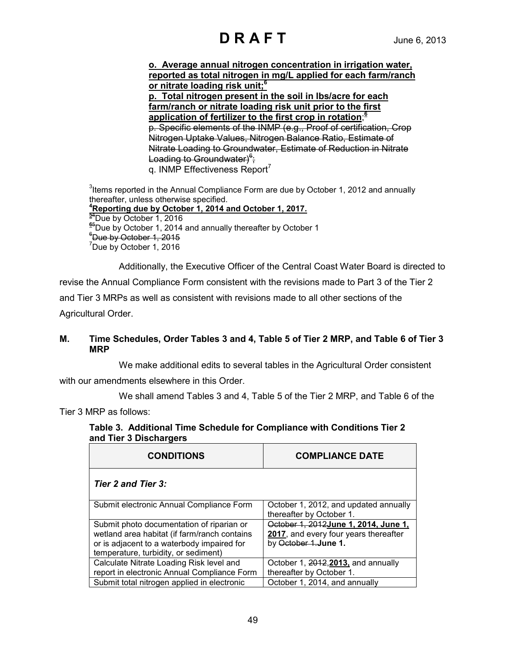**o. Average annual nitrogen concentration in irrigation water, reported as total nitrogen in mg/L applied for each farm/ranch or nitrate loading risk unit; 6 p. Total nitrogen present in the soil in lbs/acre for each farm/ranch or nitrate loading risk unit prior to the first application of fertilizer to the first crop in rotation**; **6**  p. Specific elements of the INMP (e.g., Proof of certification, Crop Nitrogen Uptake Values, Nitrogen Balance Ratio, Estimate of Nitrate Loading to Groundwater, Estimate of Reduction in Nitrate Loading to Groundwater)<sup>s</sup>; q. INMP Effectiveness Report<sup>7</sup>

 $3$ Items reported in the Annual Compliance Form are due by October 1, 2012 and annually thereafter, unless otherwise specified. **4 Reporting due by October 1, 2014 and October 1, 2017.**<br><sup>54</sup> Due by October 1, 2016 <sup>94</sup>Due by October 1, 2016<br><sup>65</sup>Due by October 1, 2014 6<sup>5</sup>Due by October 1, 2014 and annually thereafter by October 1  $^6$ Due by October 1, 2015 <sup>7</sup>Due by October 1, 2016

Additionally, the Executive Officer of the Central Coast Water Board is directed to revise the Annual Compliance Form consistent with the revisions made to Part 3 of the Tier 2 and Tier 3 MRPs as well as consistent with revisions made to all other sections of the Agricultural Order.

### **M. Time Schedules, Order Tables 3 and 4, Table 5 of Tier 2 MRP, and Table 6 of Tier 3 MRP**

We make additional edits to several tables in the Agricultural Order consistent with our amendments elsewhere in this Order.

We shall amend Tables 3 and 4, Table 5 of the Tier 2 MRP, and Table 6 of the

Tier 3 MRP as follows:

#### **Table 3. Additional Time Schedule for Compliance with Conditions Tier 2 and Tier 3 Dischargers**

| <b>CONDITIONS</b>                            | <b>COMPLIANCE DATE</b>                                            |
|----------------------------------------------|-------------------------------------------------------------------|
| Tier 2 and Tier 3:                           |                                                                   |
| Submit electronic Annual Compliance Form     | October 1, 2012, and updated annually<br>thereafter by October 1. |
| Submit photo documentation of riparian or    | October 1, 2012June 1, 2014, June 1,                              |
| wetland area habitat (if farm/ranch contains | 2017, and every four years thereafter                             |
| or is adjacent to a waterbody impaired for   | by October 1. June 1.                                             |
| temperature, turbidity, or sediment)         |                                                                   |
| Calculate Nitrate Loading Risk level and     | October 1, 2012, 2013, and annually                               |
| report in electronic Annual Compliance Form  | thereafter by October 1.                                          |
| Submit total nitrogen applied in electronic  | October 1, 2014, and annually                                     |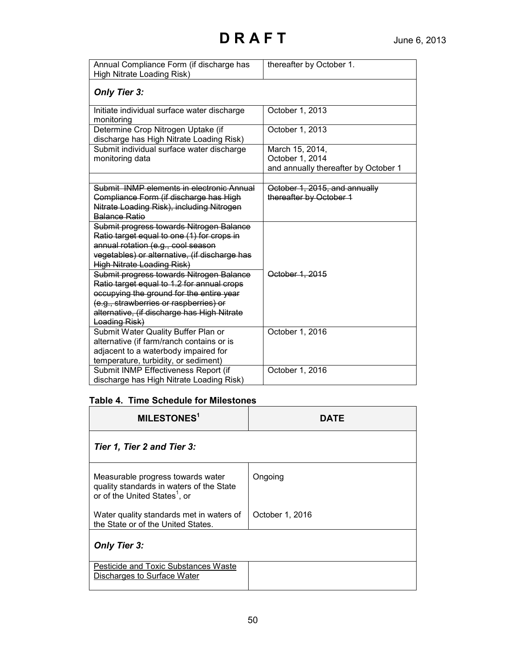| Annual Compliance Form (if discharge has<br>High Nitrate Loading Risk)                                                                                                                                             | thereafter by October 1.                                                   |
|--------------------------------------------------------------------------------------------------------------------------------------------------------------------------------------------------------------------|----------------------------------------------------------------------------|
| <b>Only Tier 3:</b>                                                                                                                                                                                                |                                                                            |
| Initiate individual surface water discharge<br>monitoring                                                                                                                                                          | October 1, 2013                                                            |
| Determine Crop Nitrogen Uptake (if<br>discharge has High Nitrate Loading Risk)                                                                                                                                     | October 1, 2013                                                            |
| Submit individual surface water discharge<br>monitoring data                                                                                                                                                       | March 15, 2014,<br>October 1, 2014<br>and annually thereafter by October 1 |
| Submit, INMP elements in electronic Annual                                                                                                                                                                         | October 1, 2015, and annually                                              |
| Compliance Form (if discharge has High                                                                                                                                                                             | thereafter by October 1                                                    |
| Nitrate Loading Risk), including Nitrogen<br><b>Balance Ratio</b>                                                                                                                                                  |                                                                            |
| Submit progress towards Nitrogen Balance<br>Ratio target equal to one (1) for crops in<br>annual rotation (e.g., cool season<br>vegetables) or alternative, (if discharge has<br><b>High Nitrate Loading Risk)</b> |                                                                            |
| Submit progress towards Nitrogen Balance<br>Ratio target equal to 1.2 for annual crops                                                                                                                             | October 1, 2015                                                            |
| occupying the ground for the entire year<br>(e.g., strawberries or raspberries) or<br>alternative, (if discharge has High Nitrate<br>Loading Risk)                                                                 |                                                                            |
| Submit Water Quality Buffer Plan or<br>alternative (if farm/ranch contains or is<br>adjacent to a waterbody impaired for<br>temperature, turbidity, or sediment)                                                   | October 1, 2016                                                            |
| Submit INMP Effectiveness Report (if<br>discharge has High Nitrate Loading Risk)                                                                                                                                   | October 1, 2016                                                            |

### **Table 4. Time Schedule for Milestones**

| MILESTONES <sup>1</sup>                                                                                                    | DATE            |
|----------------------------------------------------------------------------------------------------------------------------|-----------------|
| Tier 1, Tier 2 and Tier 3:                                                                                                 |                 |
| Measurable progress towards water<br>quality standards in waters of the State<br>or of the United States <sup>1</sup> , or | Ongoing         |
| Water quality standards met in waters of<br>the State or of the United States.                                             | October 1, 2016 |
| <b>Only Tier 3:</b>                                                                                                        |                 |
| Pesticide and Toxic Substances Waste<br>Discharges to Surface Water                                                        |                 |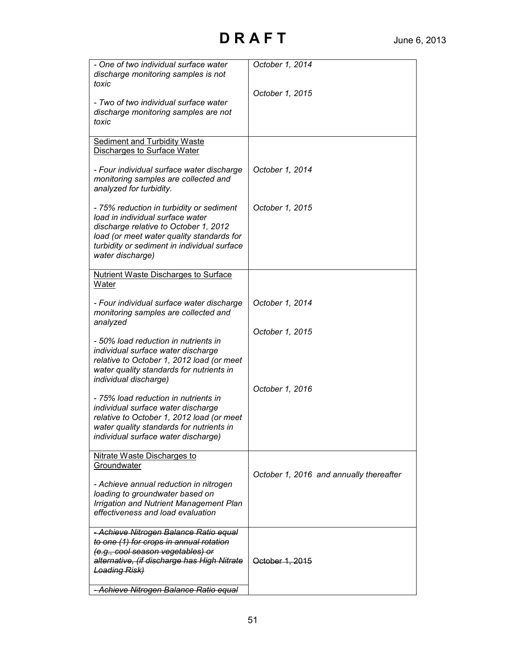| - One of two individual surface water<br>discharge monitoring samples is not<br>toxic<br>- Two of two individual surface water<br>discharge monitoring samples are not<br>toxic                                                       | October 1, 2014<br>October 1, 2015      |
|---------------------------------------------------------------------------------------------------------------------------------------------------------------------------------------------------------------------------------------|-----------------------------------------|
| <b>Sediment and Turbidity Waste</b><br><b>Discharges to Surface Water</b>                                                                                                                                                             |                                         |
| - Four individual surface water discharge<br>monitoring samples are collected and<br>analyzed for turbidity.                                                                                                                          | October 1, 2014                         |
| - 75% reduction in turbidity or sediment<br>load in individual surface water<br>discharge relative to October 1, 2012<br>load (or meet water quality standards for<br>turbidity or sediment in individual surface<br>water discharge) | October 1, 2015                         |
| <b>Nutrient Waste Discharges to Surface</b><br>Water                                                                                                                                                                                  |                                         |
| - Four individual surface water discharge<br>monitoring samples are collected and<br>analyzed                                                                                                                                         | October 1, 2014                         |
| - 50% load reduction in nutrients in<br>individual surface water discharge<br>relative to October 1, 2012 load (or meet<br>water quality standards for nutrients in                                                                   | October 1, 2015                         |
| individual discharge)                                                                                                                                                                                                                 | October 1, 2016                         |
| - 75% load reduction in nutrients in<br>individual surface water discharge<br>relative to October 1, 2012 load (or meet<br>water quality standards for nutrients in<br>individual surface water discharge)                            |                                         |
| Nitrate Waste Discharges to                                                                                                                                                                                                           |                                         |
| Groundwater<br>- Achieve annual reduction in nitrogen<br>loading to groundwater based on<br><b>Irrigation and Nutrient Management Plan</b><br>effectiveness and load evaluation                                                       | October 1, 2016 and annually thereafter |
| - Achieve Nitrogen Balance Ratio equal<br>to one (1) for crops in annual rotation<br>(e.g., cool season vegetables) or<br>alternative, (if discharge has High Nitrate<br><b>Loading Risk)</b>                                         | October 1, 2015                         |
| - Achieve Nitrogen Balance Ratio equal                                                                                                                                                                                                |                                         |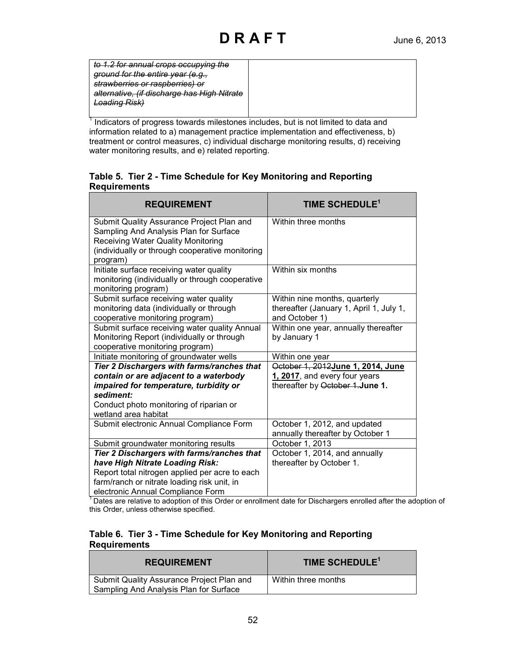| to 1.2 for annual crops occupying the                                                         |  |
|-----------------------------------------------------------------------------------------------|--|
| <u>around for the entire vear (e a</u><br><del>Junu ivi mo onino your <sub>l</sub>o.g.,</del> |  |
| strawberries or raspberries) or                                                               |  |
| alternative, (if discharge has High Nitrate                                                   |  |
| nading Rick<br><del>Louanig mon</del>                                                         |  |
|                                                                                               |  |

Indicators of progress towards milestones includes, but is not limited to data and information related to a) management practice implementation and effectiveness, b) treatment or control measures, c) individual discharge monitoring results, d) receiving water monitoring results, and e) related reporting.

#### **Table 5. Tier 2 - Time Schedule for Key Monitoring and Reporting Requirements**

| <b>REQUIREMENT</b>                                                                                                                                                                       | TIME SCHEDULE <sup>1</sup>                                                                 |
|------------------------------------------------------------------------------------------------------------------------------------------------------------------------------------------|--------------------------------------------------------------------------------------------|
| Submit Quality Assurance Project Plan and<br>Sampling And Analysis Plan for Surface<br>Receiving Water Quality Monitoring<br>(individually or through cooperative monitoring<br>program) | Within three months                                                                        |
| Initiate surface receiving water quality<br>monitoring (individually or through cooperative<br>monitoring program)                                                                       | Within six months                                                                          |
| Submit surface receiving water quality<br>monitoring data (individually or through<br>cooperative monitoring program)                                                                    | Within nine months, quarterly<br>thereafter (January 1, April 1, July 1,<br>and October 1) |
| Submit surface receiving water quality Annual<br>Monitoring Report (individually or through<br>cooperative monitoring program)                                                           | Within one year, annually thereafter<br>by January 1                                       |
| Initiate monitoring of groundwater wells                                                                                                                                                 | Within one year                                                                            |
| Tier 2 Dischargers with farms/ranches that                                                                                                                                               | October 1, 2012 June 1, 2014, June                                                         |
| contain or are adjacent to a waterbody                                                                                                                                                   | 1, 2017, and every four years                                                              |
| impaired for temperature, turbidity or                                                                                                                                                   | thereafter by October 1. June 1.                                                           |
| sediment:                                                                                                                                                                                |                                                                                            |
| Conduct photo monitoring of riparian or<br>wetland area habitat                                                                                                                          |                                                                                            |
| Submit electronic Annual Compliance Form                                                                                                                                                 | October 1, 2012, and updated<br>annually thereafter by October 1                           |
| Submit groundwater monitoring results                                                                                                                                                    | October 1, 2013                                                                            |
| Tier 2 Dischargers with farms/ranches that                                                                                                                                               | October 1, 2014, and annually                                                              |
| have High Nitrate Loading Risk:                                                                                                                                                          | thereafter by October 1.                                                                   |
| Report total nitrogen applied per acre to each                                                                                                                                           |                                                                                            |
| farm/ranch or nitrate loading risk unit, in                                                                                                                                              |                                                                                            |
| electronic Annual Compliance Form                                                                                                                                                        |                                                                                            |

<sup>1</sup> Dates are relative to adoption of this Order or enrollment date for Dischargers enrolled after the adoption of this Order, unless otherwise specified.

#### **Table 6. Tier 3 - Time Schedule for Key Monitoring and Reporting Requirements**

| <b>REQUIREMENT</b>                                                                  | TIME SCHEDULE <sup>1</sup> |
|-------------------------------------------------------------------------------------|----------------------------|
| Submit Quality Assurance Project Plan and<br>Sampling And Analysis Plan for Surface | Within three months        |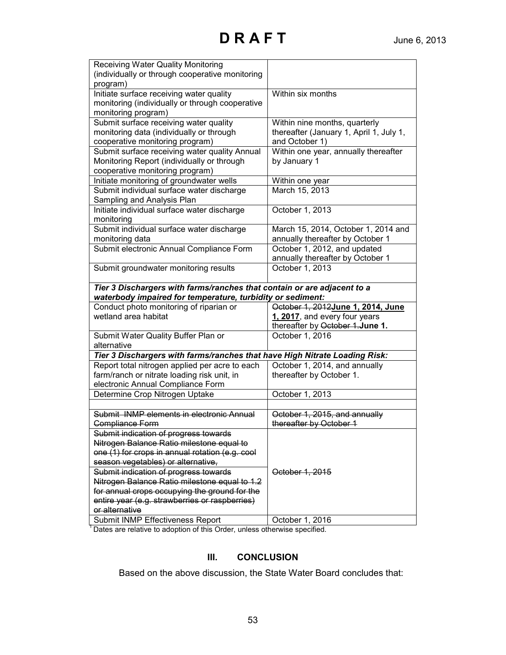| <b>Receiving Water Quality Monitoring</b>                                  |                                         |
|----------------------------------------------------------------------------|-----------------------------------------|
| (individually or through cooperative monitoring                            |                                         |
| program)                                                                   |                                         |
| Initiate surface receiving water quality                                   | Within six months                       |
| monitoring (individually or through cooperative                            |                                         |
| monitoring program)                                                        |                                         |
| Submit surface receiving water quality                                     | Within nine months, quarterly           |
| monitoring data (individually or through                                   | thereafter (January 1, April 1, July 1, |
| cooperative monitoring program)                                            | and October 1)                          |
| Submit surface receiving water quality Annual                              | Within one year, annually thereafter    |
| Monitoring Report (individually or through                                 | by January 1                            |
| cooperative monitoring program)                                            |                                         |
| Initiate monitoring of groundwater wells                                   | Within one year                         |
| Submit individual surface water discharge                                  | March 15, 2013                          |
| Sampling and Analysis Plan                                                 |                                         |
| Initiate individual surface water discharge                                | October 1, 2013                         |
| monitoring                                                                 |                                         |
| Submit individual surface water discharge                                  | March 15, 2014, October 1, 2014 and     |
| monitoring data                                                            | annually thereafter by October 1        |
| Submit electronic Annual Compliance Form                                   | October 1, 2012, and updated            |
|                                                                            | annually thereafter by October 1        |
| Submit groundwater monitoring results                                      | October 1, 2013                         |
|                                                                            |                                         |
| Tier 3 Dischargers with farms/ranches that contain or are adjacent to a    |                                         |
| waterbody impaired for temperature, turbidity or sediment:                 |                                         |
| Conduct photo monitoring of riparian or                                    | October 1, 2012 June 1, 2014, June      |
| wetland area habitat                                                       | 1, 2017, and every four years           |
|                                                                            | thereafter by October 1.June 1.         |
| Submit Water Quality Buffer Plan or                                        | October 1, 2016                         |
| alternative                                                                |                                         |
| Tier 3 Dischargers with farms/ranches that have High Nitrate Loading Risk: |                                         |
| Report total nitrogen applied per acre to each                             | October 1, 2014, and annually           |
| farm/ranch or nitrate loading risk unit, in                                | thereafter by October 1.                |
| electronic Annual Compliance Form                                          |                                         |
| Determine Crop Nitrogen Uptake                                             | October 1, 2013                         |
|                                                                            |                                         |
| Submit INMP elements in electronic Annual                                  | October 1, 2015, and annually           |
| <b>Compliance Form</b>                                                     | thereafter by October 1                 |
| Submit indication of progress towards                                      |                                         |
| Nitrogen Balance Ratio milestone equal to                                  |                                         |
| one (1) for crops in annual rotation (e.g. cool                            |                                         |
| season vegetables) or alternative,                                         |                                         |
| Submit indication of progress towards                                      | October 1, 2015                         |
| Nitrogen Balance Ratio milestone equal to 1.2                              |                                         |
| for annual crops occupying the ground for the                              |                                         |
| entire year (e.g. strawberries or raspberries)                             |                                         |
| or alternative                                                             |                                         |
| Submit INMP Effectiveness Report                                           | October 1, 2016                         |

The Effective to adoption of this Order, unless otherwise specified.

## **III. CONCLUSION**

Based on the above discussion, the State Water Board concludes that: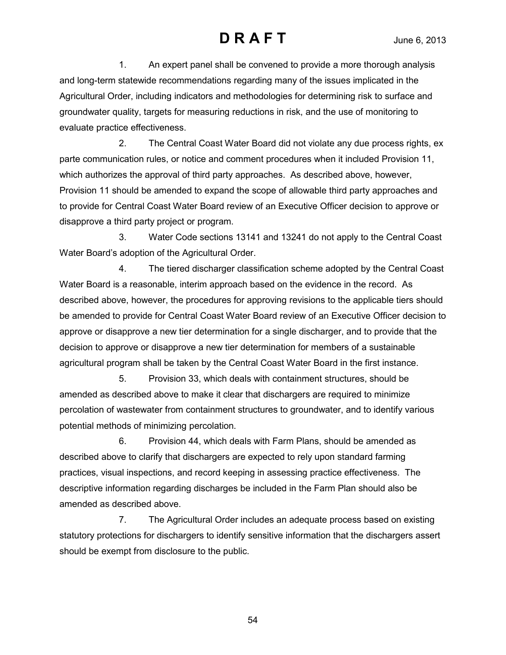1. An expert panel shall be convened to provide a more thorough analysis and long-term statewide recommendations regarding many of the issues implicated in the Agricultural Order, including indicators and methodologies for determining risk to surface and groundwater quality, targets for measuring reductions in risk, and the use of monitoring to evaluate practice effectiveness.

2. The Central Coast Water Board did not violate any due process rights, ex parte communication rules, or notice and comment procedures when it included Provision 11, which authorizes the approval of third party approaches. As described above, however, Provision 11 should be amended to expand the scope of allowable third party approaches and to provide for Central Coast Water Board review of an Executive Officer decision to approve or disapprove a third party project or program.

3. Water Code sections 13141 and 13241 do not apply to the Central Coast Water Board's adoption of the Agricultural Order.

4. The tiered discharger classification scheme adopted by the Central Coast Water Board is a reasonable, interim approach based on the evidence in the record. As described above, however, the procedures for approving revisions to the applicable tiers should be amended to provide for Central Coast Water Board review of an Executive Officer decision to approve or disapprove a new tier determination for a single discharger, and to provide that the decision to approve or disapprove a new tier determination for members of a sustainable agricultural program shall be taken by the Central Coast Water Board in the first instance.

5. Provision 33, which deals with containment structures, should be amended as described above to make it clear that dischargers are required to minimize percolation of wastewater from containment structures to groundwater, and to identify various potential methods of minimizing percolation.

6. Provision 44, which deals with Farm Plans, should be amended as described above to clarify that dischargers are expected to rely upon standard farming practices, visual inspections, and record keeping in assessing practice effectiveness. The descriptive information regarding discharges be included in the Farm Plan should also be amended as described above.

7. The Agricultural Order includes an adequate process based on existing statutory protections for dischargers to identify sensitive information that the dischargers assert should be exempt from disclosure to the public.

54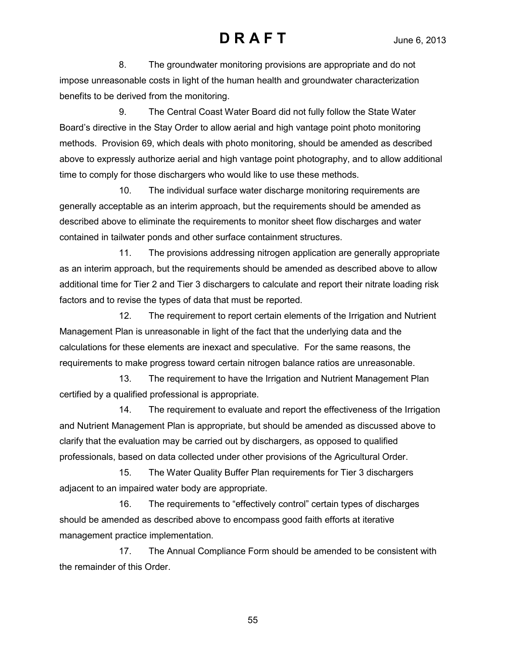8. The groundwater monitoring provisions are appropriate and do not impose unreasonable costs in light of the human health and groundwater characterization benefits to be derived from the monitoring.

9. The Central Coast Water Board did not fully follow the State Water Board's directive in the Stay Order to allow aerial and high vantage point photo monitoring methods. Provision 69, which deals with photo monitoring, should be amended as described above to expressly authorize aerial and high vantage point photography, and to allow additional time to comply for those dischargers who would like to use these methods.

10. The individual surface water discharge monitoring requirements are generally acceptable as an interim approach, but the requirements should be amended as described above to eliminate the requirements to monitor sheet flow discharges and water contained in tailwater ponds and other surface containment structures.

11. The provisions addressing nitrogen application are generally appropriate as an interim approach, but the requirements should be amended as described above to allow additional time for Tier 2 and Tier 3 dischargers to calculate and report their nitrate loading risk factors and to revise the types of data that must be reported.

12. The requirement to report certain elements of the Irrigation and Nutrient Management Plan is unreasonable in light of the fact that the underlying data and the calculations for these elements are inexact and speculative. For the same reasons, the requirements to make progress toward certain nitrogen balance ratios are unreasonable.

13. The requirement to have the Irrigation and Nutrient Management Plan certified by a qualified professional is appropriate.

14. The requirement to evaluate and report the effectiveness of the Irrigation and Nutrient Management Plan is appropriate, but should be amended as discussed above to clarify that the evaluation may be carried out by dischargers, as opposed to qualified professionals, based on data collected under other provisions of the Agricultural Order.

15. The Water Quality Buffer Plan requirements for Tier 3 dischargers adjacent to an impaired water body are appropriate.

16. The requirements to "effectively control" certain types of discharges should be amended as described above to encompass good faith efforts at iterative management practice implementation.

17. The Annual Compliance Form should be amended to be consistent with the remainder of this Order.

55